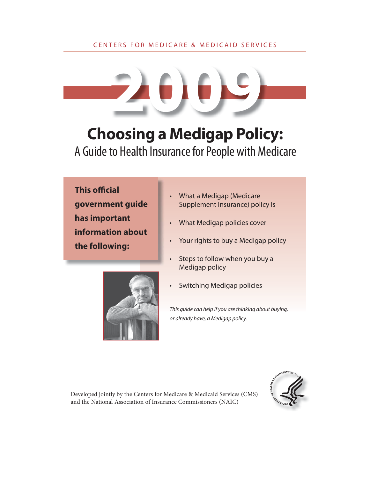

# **Choosing a Medigap Policy:**

A Guide to Health Insurance for People with Medicare

**This official government guide has important information about the following:**



- What Medigap policies cover
- Your rights to buy a Medigap policy
- Steps to follow when you buy a Medigap policy
- Switching Medigap policies

This guide can help if you are thinking about buying, or already have, a Medigap policy.



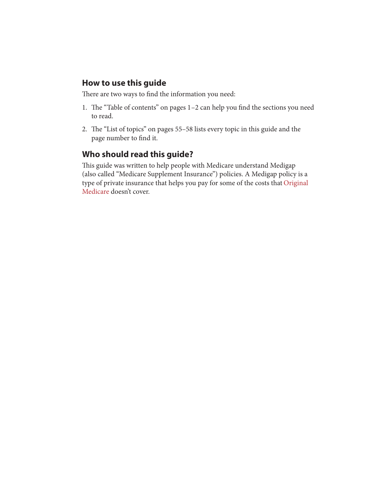#### **How to use this guide**

There are two ways to find the information you need:

- 1. The "Table of contents" on pages 1-2 can help you find the sections you need to read.
- 2. The "List of topics" on pages 55–58 lists every topic in this guide and the page number to find it.

#### **Who should read this guide?**

This guide was written to help people with Medicare understand Medigap (also called "Medicare Supplement Insurance") policies. A Medigap policy is a type of private insurance that helps you pay for some of the costs that Original Medicare doesn't cover.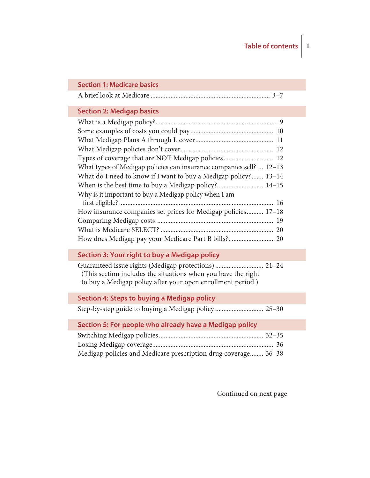#### **Section 1: Medicare basics**

|--|--|

#### **Section 2: Medigap basics**

| What types of Medigap policies can insurance companies sell?  12-13 |  |
|---------------------------------------------------------------------|--|
| What do I need to know if I want to buy a Medigap policy? 13-14     |  |
|                                                                     |  |
| Why is it important to buy a Medigap policy when I am               |  |
|                                                                     |  |
| How insurance companies set prices for Medigap policies 17–18       |  |
|                                                                     |  |
|                                                                     |  |
| How does Medigap pay your Medicare Part B bills? 20                 |  |

#### **Section 3: Your right to buy a Medigap policy**

Guaranteed issue rights (Medigap protections) ............................. 21–24 (This section includes the situations when you have the right to buy a Medigap policy after your open enrollment period.)

Step-by-step guide to buying a Medigap policy ............................. 25–30

#### **Section 5: For people who already have a Medigap policy**

| Medigap policies and Medicare prescription drug coverage 36-38 |  |
|----------------------------------------------------------------|--|

Continued on next page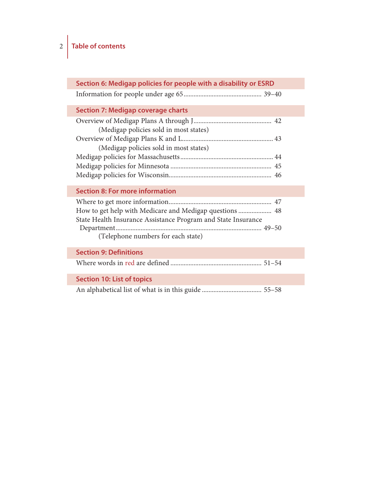# 2 **Table of contents**

| Section 6: Medigap policies for people with a disability or ESRD                                                                                               |
|----------------------------------------------------------------------------------------------------------------------------------------------------------------|
|                                                                                                                                                                |
| <b>Section 7: Medigap coverage charts</b>                                                                                                                      |
| (Medigap policies sold in most states)                                                                                                                         |
| (Medigap policies sold in most states)                                                                                                                         |
|                                                                                                                                                                |
|                                                                                                                                                                |
|                                                                                                                                                                |
| <b>Section 8: For more information</b>                                                                                                                         |
| How to get help with Medicare and Medigap questions  48<br>State Health Insurance Assistance Program and State Insurance<br>(Telephone numbers for each state) |
| <b>Section 9: Definitions</b>                                                                                                                                  |
|                                                                                                                                                                |
| <b>Section 10: List of topics</b>                                                                                                                              |
|                                                                                                                                                                |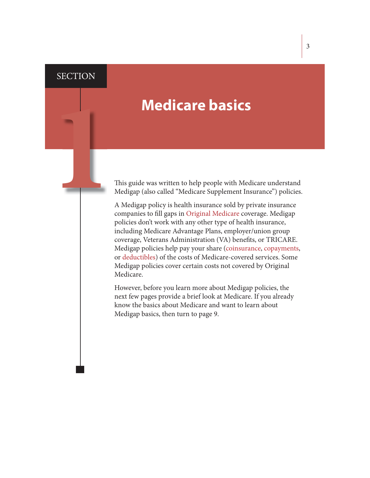#### **SECTION**

This guide was written to help people with Medicare understand Medigap (also called "Medicare Supplement Insurance") policies.

**11 Interval Concernsity Concernsity Concernsity Concernsity Concernsity Concernsity A Medigap (also called "Medicare Supplement Instantane and by proportions of fill gaps in Original Medicare covernsity of**  $\alpha$  **Medigap po** A Medigap policy is health insurance sold by private insurance companies to fill gaps in Original Medicare coverage. Medigap policies don't work with any other type of health insurance, including Medicare Advantage Plans, employer/union group coverage, Veterans Administration (VA) benefits, or TRICARE. Medigap policies help pay your share (coinsurance, copayments, or deductibles) of the costs of Medicare-covered services. Some Medigap policies cover certain costs not covered by Original Medicare.

> However, before you learn more about Medigap policies, the next few pages provide a brief look at Medicare. If you already know the basics about Medicare and want to learn about Medigap basics, then turn to page 9.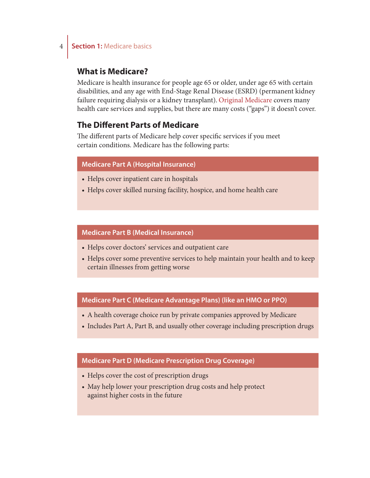#### 4 **Section 1:** Medicare basics

#### **What is Medicare?**

Medicare is health insurance for people age 65 or older, under age 65 with certain disabilities, and any age with End-Stage Renal Disease (ESRD) (permanent kidney failure requiring dialysis or a kidney transplant). Original Medicare covers many health care services and supplies, but there are many costs ("gaps") it doesn't cover.

#### **The Different Parts of Medicare**

The different parts of Medicare help cover specific services if you meet certain conditions. Medicare has the following parts:

#### **Medicare Part A (Hospital Insurance)**

- Helps cover inpatient care in hospitals
- Helps cover skilled nursing facility, hospice, and home health care

#### **Medicare Part B (Medical Insurance)**

- Helps cover doctors' services and outpatient care
- Helps cover some preventive services to help maintain your health and to keep certain illnesses from getting worse

#### **Medicare Part C (Medicare Advantage Plans) (like an HMO or PPO)**

- A health coverage choice run by private companies approved by Medicare
- Includes Part A, Part B, and usually other coverage including prescription drugs

#### **Medicare Part D (Medicare Prescription Drug Coverage)**

- Helps cover the cost of prescription drugs
- May help lower your prescription drug costs and help protect against higher costs in the future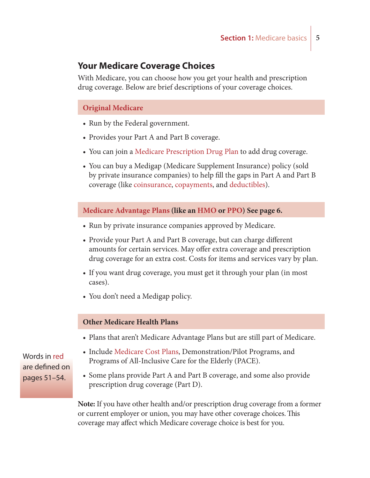#### **Your Medicare Coverage Choices**

With Medicare, you can choose how you get your health and prescription drug coverage. Below are brief descriptions of your coverage choices.

#### **Original Medicare**

- Run by the Federal government.
- Provides your Part A and Part B coverage.
- You can join a Medicare Prescription Drug Plan to add drug coverage.
- You can buy a Medigap (Medicare Supplement Insurance) policy (sold by private insurance companies) to help fill the gaps in Part A and Part B coverage (like coinsurance, copayments, and deductibles).

**Medicare Advantage Plans (like an HMO or PPO) See page 6.** 

- Run by private insurance companies approved by Medicare.
- Provide your Part A and Part B coverage, but can charge different amounts for certain services. May offer extra coverage and prescription drug coverage for an extra cost. Costs for items and services vary by plan.
- If you want drug coverage, you must get it through your plan (in most cases).
- You don't need a Medigap policy.

#### **Other Medicare Health Plans**

- Plans that aren't Medicare Advantage Plans but are still part of Medicare.
- Include Medicare Cost Plans, Demonstration/Pilot Programs, and Programs of All-Inclusive Care for the Elderly (PACE).
- Some plans provide Part A and Part B coverage, and some also provide prescription drug coverage (Part D).

**Note:** If you have other health and/or prescription drug coverage from a former or current employer or union, you may have other coverage choices. This coverage may affect which Medicare coverage choice is best for you.

Words in red are defined on pages 51–54.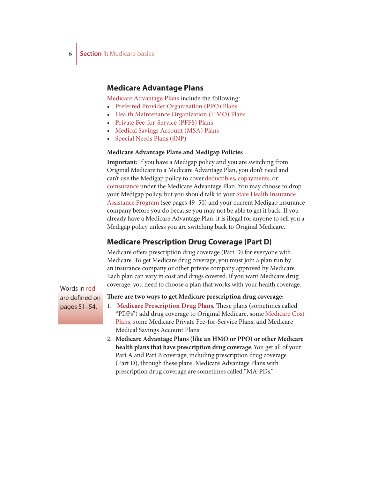#### **Medicare Advantage Plans**

Medicare Advantage Plans include the following:

- Preferred Provider Organization (PPO) Plans
- Health Maintenance Organization (HMO) Plans
- Private Fee-for-Service (PFFS) Plans
- Medical Savings Account (MSA) Plans
- Special Needs Plans (SNP)

#### **Medicare Advantage Plans and Medigap Policies**

**Important:** If you have a Medigap policy and you are switching from Original Medicare to a Medicare Advantage Plan, you don't need and can't use the Medigap policy to cover deductibles, copayments, or coinsurance under the Medicare Advantage Plan. You may choose to drop your Medigap policy, but you should talk to your State Health Insurance Assistance Program (see pages 49–50) and your current Medigap insurance company before you do because you may not be able to get it back. If you already have a Medicare Advantage Plan, it is illegal for anyone to sell you a Medigap policy unless you are switching back to Original Medicare.

#### **Medicare Prescription Drug Coverage (Part D)**

Medicare offers prescription drug coverage (Part D) for everyone with Medicare. To get Medicare drug coverage, you must join a plan run by an insurance company or other private company approved by Medicare. Each plan can vary in cost and drugs covered. If you want Medicare drug coverage, you need to choose a plan that works with your health coverage.

Words in red are defined on pages 51–54.

#### **! ere are two ways to get Medicare prescription drug coverage:**

- 1. **Medicare Prescription Drug Plans.** These plans (sometimes called "PDPs") add drug coverage to Original Medicare, some Medicare Cost Plans, some Medicare Private Fee-for-Service Plans, and Medicare Medical Savings Account Plans.
- 2. **Medicare Advantage Plans (like an HMO or PPO) or other Medicare health plans that have prescription drug coverage.** You get all of your Part A and Part B coverage, including prescription drug coverage (Part D), through these plans. Medicare Advantage Plans with prescription drug coverage are sometimes called "MA-PDs."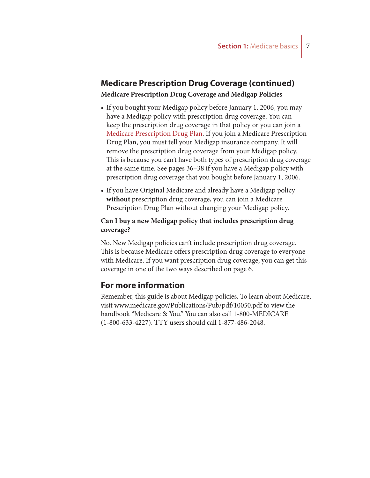#### **Medicare Prescription Drug Coverage (continued)**

#### **Medicare Prescription Drug Coverage and Medigap Policies**

- If you bought your Medigap policy before January 1, 2006, you may have a Medigap policy with prescription drug coverage. You can keep the prescription drug coverage in that policy or you can join a Medicare Prescription Drug Plan. If you join a Medicare Prescription Drug Plan, you must tell your Medigap insurance company. It will remove the prescription drug coverage from your Medigap policy. This is because you can't have both types of prescription drug coverage at the same time. See pages 36–38 if you have a Medigap policy with prescription drug coverage that you bought before January 1, 2006.
- If you have Original Medicare and already have a Medigap policy **without** prescription drug coverage, you can join a Medicare Prescription Drug Plan without changing your Medigap policy.

#### **Can I buy a new Medigap policy that includes prescription drug coverage?**

No. New Medigap policies can't include prescription drug coverage. This is because Medicare offers prescription drug coverage to everyone with Medicare. If you want prescription drug coverage, you can get this coverage in one of the two ways described on page 6.

#### **For more information**

Remember, this guide is about Medigap policies. To learn about Medicare, visit www.medicare.gov/Publications/Pub/pdf/10050.pdf to view the handbook "Medicare & You." You can also call 1-800-MEDICARE (1-800-633-4227). TTY users should call 1-877-486-2048.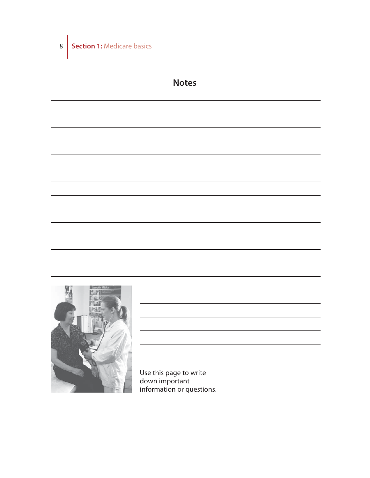

8 **Section 1:** Medicare basics

Use this page to write down important information or questions.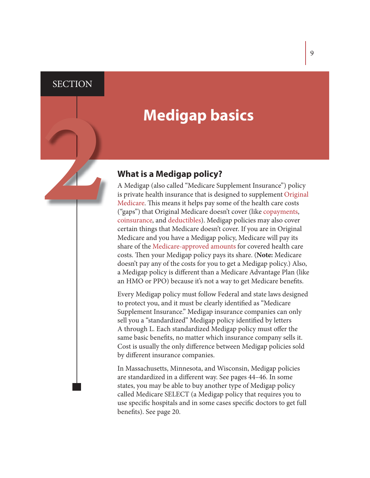#### **SECTION**

**Medigap basics**<br> **2 What is a Medigap policy?**<br>
A Medigap (also called "Medicare Supplement I<br>
is private health insurance that is designed to sume of the health insurance that is designed to sume of the health ("gaps") A Medigap (also called "Medicare Supplement Insurance") policy is private health insurance that is designed to supplement Original Medicare. This means it helps pay some of the health care costs ("gaps") that Original Medicare doesn't cover (like copayments, coinsurance, and deductibles). Medigap policies may also cover certain things that Medicare doesn't cover. If you are in Original Medicare and you have a Medigap policy, Medicare will pay its share of the Medicare-approved amounts for covered health care costs. Then your Medigap policy pays its share. (Note: Medicare doesn't pay any of the costs for you to get a Medigap policy.) Also, a Medigap policy is different than a Medicare Advantage Plan (like an HMO or PPO) because it's not a way to get Medicare benefits.

> Every Medigap policy must follow Federal and state laws designed to protect you, and it must be clearly identified as "Medicare" Supplement Insurance." Medigap insurance companies can only sell you a "standardized" Medigap policy identified by letters A through L. Each standardized Medigap policy must offer the same basic benefits, no matter which insurance company sells it. Cost is usually the only difference between Medigap policies sold by different insurance companies.

In Massachusetts, Minnesota, and Wisconsin, Medigap policies are standardized in a different way. See pages 44–46. In some states, you may be able to buy another type of Medigap policy called Medicare SELECT (a Medigap policy that requires you to use specific hospitals and in some cases specific doctors to get full benefits). See page 20.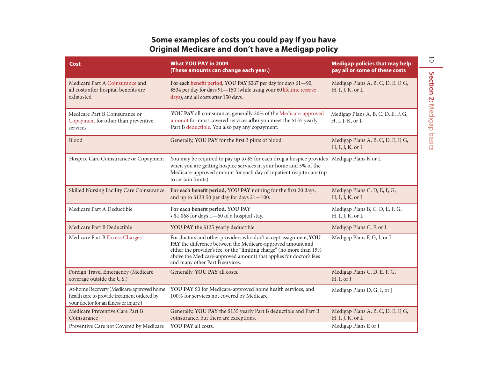#### **Some examples of costs you could pay if you have Original Medicare and don't have a Medigap policy**

| Cost                                                                                                                              | <b>What YOU PAY in 2009</b><br>(These amounts can change each year.)                                                                                                                                                                                                                                              | <b>Medigap policies that may help</b><br>pay all or some of these costs |
|-----------------------------------------------------------------------------------------------------------------------------------|-------------------------------------------------------------------------------------------------------------------------------------------------------------------------------------------------------------------------------------------------------------------------------------------------------------------|-------------------------------------------------------------------------|
| Medicare Part A Coinsurance and<br>all costs after hospital benefits are<br>exhausted                                             | For each benefit period, YOU PAY \$267 per day for days 61-90,<br>\$534 per day for days 91-150 (while using your 60 lifetime reserve<br>days), and all costs after 150 days.                                                                                                                                     | Medigap Plans A, B, C, D, E, F, G,<br>H, I, J, K, or L                  |
| Medicare Part B Coinsurance or<br>Copayment for other than preventive<br>services                                                 | YOU PAY all coinsurance, generally 20% of the Medicare-approved<br>amount for most covered services after you meet the \$135 yearly<br>Part B deductible. You also pay any copayment.                                                                                                                             | Medigap Plans A, B, C, D, E, F, G,<br>H, I, J, K, or L                  |
| Blood                                                                                                                             | Generally, YOU PAY for the first 3 pints of blood.                                                                                                                                                                                                                                                                | Medigap Plans A, B, C, D, E, F, G,<br>H, I, J, K, or L                  |
| Hospice Care Coinsurance or Copayment                                                                                             | You may be required to pay up to \$5 for each drug a hospice provides<br>when you are getting hospice services in your home and 5% of the<br>Medicare-approved amount for each day of inpatient respite care (up<br>to certain limits).                                                                           | Medigap Plans K or L                                                    |
| Skilled Nursing Facility Care Coinsurance                                                                                         | For each benefit period, YOU PAY nothing for the first 20 days,<br>and up to \$133.50 per day for days 21-100.                                                                                                                                                                                                    | Medigap Plans C, D, E, F, G,<br>H, I, J, K, or L                        |
| Medicare Part A Deductible                                                                                                        | For each benefit period, YOU PAY<br>$\cdot$ \$1,068 for days 1-60 of a hospital stay.                                                                                                                                                                                                                             | Medigap Plans B, C, D, E, F, G,<br>H, I, J, K, or L                     |
| Medicare Part B Deductible                                                                                                        | YOU PAY the \$135 yearly deductible.                                                                                                                                                                                                                                                                              | Medigap Plans C, F, or J                                                |
| Medicare Part B Excess Charges                                                                                                    | For doctors and other providers who don't accept assignment, YOU<br>PAY the difference between the Medicare-approved amount and<br>either the provider's fee, or the "limiting charge" (no more than 15%<br>above the Medicare-approved amount) that applies for doctor's fees<br>and many other Part B services. | Medigap Plans F, G, I, or J                                             |
| Foreign Travel Emergency (Medicare<br>coverage outside the U.S.)                                                                  | Generally, YOU PAY all costs.                                                                                                                                                                                                                                                                                     | Medigap Plans C, D, E, F, G,<br>H, I, or J                              |
| At-home Recovery (Medicare-approved home<br>health care to provide treatment ordered by<br>your doctor for an illness or injury.) | YOU PAY \$0 for Medicare-approved home health services, and<br>100% for services not covered by Medicare.                                                                                                                                                                                                         | Medigap Plans D, G, I, or J                                             |
| Medicare Preventive Care Part B<br>Coinsurance                                                                                    | Generally, YOU PAY the \$135 yearly Part B deductible and Part B<br>coinsurance, but there are exceptions.                                                                                                                                                                                                        | Medigap Plans A, B, C, D, E, F, G,<br>H, I, J, K, or L                  |
| Preventive Care not Covered by Medicare                                                                                           | YOU PAY all costs.                                                                                                                                                                                                                                                                                                | Medigap Plans E or J                                                    |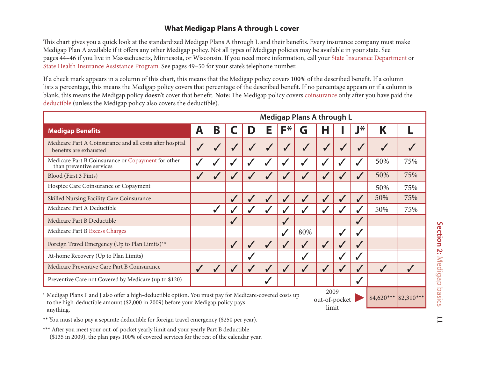#### **What Medigap Plans A through L cover**

This chart gives you a quick look at the standardized Medigap Plans A through L and their benefits. Every insurance company must make Medigap Plan A available if it offers any other Medigap policy. Not all types of Medigap policies may be available in your state. See pages 44–46 if you live in Massachusetts, Minnesota, or Wisconsin. If you need more information, call your State Insurance Department or State Health Insurance Assistance Program. See pages 49–50 for your state's telephone number.

If a check mark appears in a column of this chart, this means that the Medigap policy covers 100% of the described benefit. If a column lists a percentage, this means the Medigap policy covers that percentage of the described benefit. If no percentage appears or if a column is blank, this means the Medigap policy doesn't cover that benefit. Note: The Medigap policy covers coinsurance only after you have paid the deductible (unless the Medigap policy also covers the deductible).

| <b>Medigap Plans A through L</b>                                                                        |              |   |  |   |   |       |                         |                       |            |                |                                                     |     |
|---------------------------------------------------------------------------------------------------------|--------------|---|--|---|---|-------|-------------------------|-----------------------|------------|----------------|-----------------------------------------------------|-----|
| <b>Medigap Benefits</b>                                                                                 | A            | B |  | D | Е | $F^*$ | G                       | Н                     |            | $\mathbf{J}^*$ | K                                                   |     |
| Medicare Part A Coinsurance and all costs after hospital<br>benefits are exhausted                      | $\checkmark$ |   |  | ✔ |   |       |                         |                       |            |                | $\checkmark$                                        |     |
| Medicare Part B Coinsurance or Copayment for other<br>than preventive services                          | $\checkmark$ |   |  | ✔ |   |       | $\checkmark$            | ✔                     |            |                | 50%                                                 | 75% |
| Blood (First 3 Pints)                                                                                   | ✔            |   |  | ✔ | ✔ |       | $\overline{\mathbf{v}}$ | $\checkmark$          |            |                | 50%                                                 | 75% |
| Hospice Care Coinsurance or Copayment                                                                   |              |   |  |   |   |       |                         |                       |            |                | 50%                                                 | 75% |
| Skilled Nursing Facility Care Coinsurance                                                               |              |   |  |   |   |       |                         |                       |            |                | 50%                                                 | 75% |
| Medicare Part A Deductible                                                                              |              | ✔ |  |   |   |       |                         |                       |            |                | 50%                                                 | 75% |
| Medicare Part B Deductible                                                                              |              |   |  |   |   |       |                         |                       |            |                |                                                     |     |
| Medicare Part B Excess Charges                                                                          |              |   |  |   |   | J     | 80%                     |                       |            | ✔              |                                                     |     |
| Foreign Travel Emergency (Up to Plan Limits)**                                                          |              |   |  | ✓ |   |       | ✔                       | ✔                     |            |                |                                                     |     |
| At-home Recovery (Up to Plan Limits)                                                                    |              |   |  |   |   |       |                         |                       |            |                |                                                     |     |
| Medicare Preventive Care Part B Coinsurance                                                             | $\checkmark$ | J |  | J | J |       | $\sqrt{2}$              | ✔                     | $\sqrt{2}$ |                | $\checkmark$                                        |     |
| Preventive Care not Covered by Medicare (up to \$120)                                                   |              |   |  |   |   |       |                         |                       |            |                |                                                     |     |
| * Medigap Plans F and J also offer a high-deductible option. You must pay for Medicare-covered costs up |              |   |  |   |   |       |                         | 2009<br>out-of-pocket |            |                | $\left  \frac{$4,620^{***} }{$2,310^{***} }\right $ |     |

 to the high-deductible amount (\$2,000 in 2009) before your Medigap policy pays anything.



Section 2: Medigap basics **Section 2:** Medigap basics | 11

 $\overline{\mathbf{I}}$ 

\*\* You must also pay a separate deductible for foreign travel emergency (\$250 per year).

\*\*\* After you meet your out-of-pocket yearly limit and your yearly Part B deductible (\$135 in 2009), the plan pays 100% of covered services for the rest of the calendar year.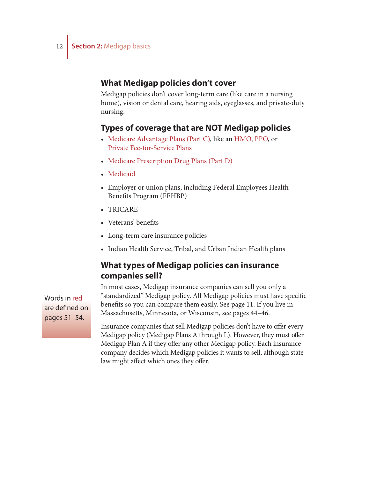#### **What Medigap policies don't cover**

Medigap policies don't cover long-term care (like care in a nursing home), vision or dental care, hearing aids, eyeglasses, and private-duty nursing.

#### **Types of coverage that are NOT Medigap policies**

- Medicare Advantage Plans (Part C), like an HMO, PPO, or Private Fee-for-Service Plans
- Medicare Prescription Drug Plans (Part D)
- Medicaid
- Employer or union plans, including Federal Employees Health Benefits Program (FEHBP)
- TRICARE
- Veterans' benefits
- Long-term care insurance policies
- Indian Health Service, Tribal, and Urban Indian Health plans

#### **What types of Medigap policies can insurance companies sell?**

Words in red are defined on pages 51–54.

In most cases, Medigap insurance companies can sell you only a "standardized" Medigap policy. All Medigap policies must have specific benefits so you can compare them easily. See page 11. If you live in Massachusetts, Minnesota, or Wisconsin, see pages 44–46.

Insurance companies that sell Medigap policies don't have to offer every Medigap policy (Medigap Plans A through L). However, they must offer Medigap Plan A if they offer any other Medigap policy. Each insurance company decides which Medigap policies it wants to sell, although state law might affect which ones they offer.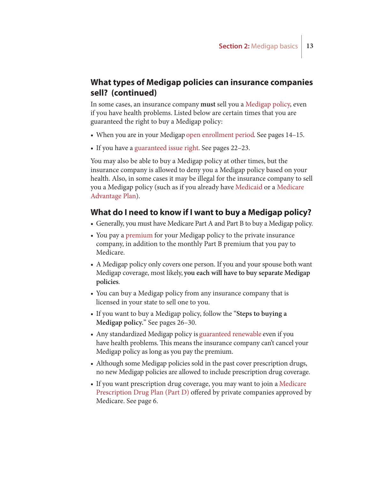#### **What types of Medigap policies can insurance companies sell? (continued)**

In some cases, an insurance company **must** sell you a Medigap policy, even if you have health problems. Listed below are certain times that you are guaranteed the right to buy a Medigap policy:

- When you are in your Medigap open enrollment period. See pages 14–15.
- If you have a guaranteed issue right. See pages 22–23.

You may also be able to buy a Medigap policy at other times, but the insurance company is allowed to deny you a Medigap policy based on your health. Also, in some cases it may be illegal for the insurance company to sell you a Medigap policy (such as if you already have Medicaid or a Medicare Advantage Plan).

#### **What do I need to know if I want to buy a Medigap policy?**

- Generally, you must have Medicare Part A and Part B to buy a Medigap policy.
- You pay a premium for your Medigap policy to the private insurance company, in addition to the monthly Part B premium that you pay to Medicare.
- A Medigap policy only covers one person. If you and your spouse both want Medigap coverage, most likely, **you each will have to buy separate Medigap policies**.
- You can buy a Medigap policy from any insurance company that is licensed in your state to sell one to you.
- If you want to buy a Medigap policy, follow the "**Steps to buying a Medigap policy.**" See pages 26–30.
- Any standardized Medigap policy is guaranteed renewable even if you have health problems. This means the insurance company can't cancel your Medigap policy as long as you pay the premium.
- Although some Medigap policies sold in the past cover prescription drugs, no new Medigap policies are allowed to include prescription drug coverage.
- If you want prescription drug coverage, you may want to join a Medicare Prescription Drug Plan (Part D) offered by private companies approved by Medicare. See page 6.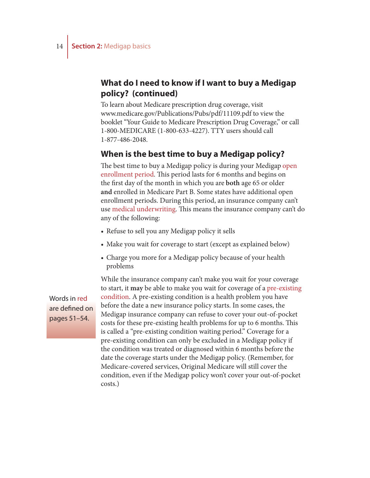#### **What do I need to know if I want to buy a Medigap policy? (continued)**

To learn about Medicare prescription drug coverage, visit www.medicare.gov/Publications/Pubs/pdf/11109.pdf to view the booklet "Your Guide to Medicare Prescription Drug Coverage," or call 1-800-MEDICARE (1-800-633-4227). TTY users should call 1-877-486-2048.

#### **When is the best time to buy a Medigap policy?**

The best time to buy a Medigap policy is during your Medigap open enrollment period. This period lasts for 6 months and begins on the first day of the month in which you are **both** age 65 or older **and** enrolled in Medicare Part B. Some states have additional open enrollment periods. During this period, an insurance company can't use medical underwriting. This means the insurance company can't do any of the following:

- Refuse to sell you any Medigap policy it sells
- Make you wait for coverage to start (except as explained below)
- Charge you more for a Medigap policy because of your health problems

Words in red are defined on pages 51–54.

While the insurance company can't make you wait for your coverage to start, it **may** be able to make you wait for coverage of a pre-existing condition. A pre-existing condition is a health problem you have before the date a new insurance policy starts. In some cases, the Medigap insurance company can refuse to cover your out-of-pocket costs for these pre-existing health problems for up to 6 months. This is called a "pre-existing condition waiting period." Coverage for a pre-existing condition can only be excluded in a Medigap policy if the condition was treated or diagnosed within 6 months before the date the coverage starts under the Medigap policy. (Remember, for Medicare-covered services, Original Medicare will still cover the condition, even if the Medigap policy won't cover your out-of-pocket costs.)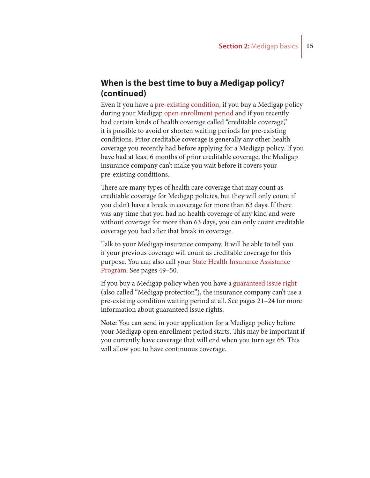#### **When is the best time to buy a Medigap policy? (continued)**

Even if you have a pre-existing condition, if you buy a Medigap policy during your Medigap open enrollment period and if you recently had certain kinds of health coverage called "creditable coverage," it is possible to avoid or shorten waiting periods for pre-existing conditions. Prior creditable coverage is generally any other health coverage you recently had before applying for a Medigap policy. If you have had at least 6 months of prior creditable coverage, the Medigap insurance company can't make you wait before it covers your pre-existing conditions.

There are many types of health care coverage that may count as creditable coverage for Medigap policies, but they will only count if you didn't have a break in coverage for more than 63 days. If there was any time that you had no health coverage of any kind and were without coverage for more than 63 days, you can only count creditable coverage you had after that break in coverage.

Talk to your Medigap insurance company. It will be able to tell you if your previous coverage will count as creditable coverage for this purpose. You can also call your State Health Insurance Assistance Program. See pages 49–50.

If you buy a Medigap policy when you have a guaranteed issue right (also called "Medigap protection"), the insurance company can't use a pre-existing condition waiting period at all. See pages 21–24 for more information about guaranteed issue rights.

**Note:** You can send in your application for a Medigap policy before your Medigap open enrollment period starts. This may be important if you currently have coverage that will end when you turn age 65. This will allow you to have continuous coverage.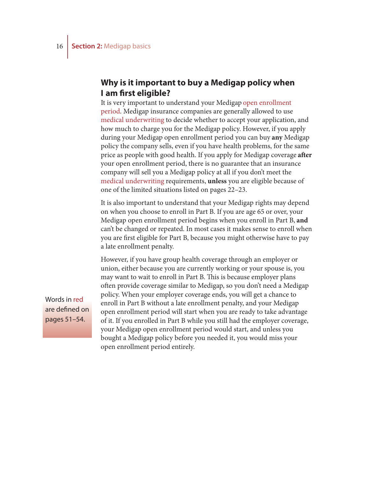#### **Why is it important to buy a Medigap policy when**  *I* am first eligible?

It is very important to understand your Medigap open enrollment period. Medigap insurance companies are generally allowed to use medical underwriting to decide whether to accept your application, and how much to charge you for the Medigap policy. However, if you apply during your Medigap open enrollment period you can buy **any** Medigap policy the company sells, even if you have health problems, for the same price as people with good health. If you apply for Medigap coverage **a" er**  your open enrollment period, there is no guarantee that an insurance company will sell you a Medigap policy at all if you don't meet the medical underwriting requirements, **unless** you are eligible because of one of the limited situations listed on pages 22–23.

It is also important to understand that your Medigap rights may depend on when you choose to enroll in Part B. If you are age 65 or over, your Medigap open enrollment period begins when you enroll in Part B, **and** can't be changed or repeated. In most cases it makes sense to enroll when you are first eligible for Part B, because you might otherwise have to pay a late enrollment penalty.

However, if you have group health coverage through an employer or union, either because you are currently working or your spouse is, you may want to wait to enroll in Part B. This is because employer plans often provide coverage similar to Medigap, so you don't need a Medigap policy. When your employer coverage ends, you will get a chance to enroll in Part B without a late enrollment penalty, and your Medigap open enrollment period will start when you are ready to take advantage of it. If you enrolled in Part B while you still had the employer coverage, your Medigap open enrollment period would start, and unless you bought a Medigap policy before you needed it, you would miss your open enrollment period entirely.

Words in red are defined on pages 51–54.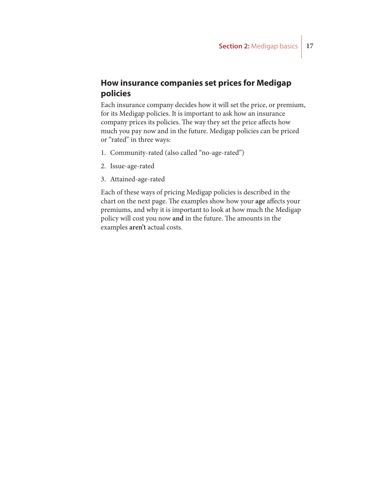#### **How insurance companies set prices for Medigap policies**

Each insurance company decides how it will set the price, or premium, for its Medigap policies. It is important to ask how an insurance company prices its policies. The way they set the price affects how much you pay now and in the future. Medigap policies can be priced or "rated" in three ways:

- 1. Community-rated (also called "no-age-rated")
- 2. Issue-age-rated
- 3. Attained-age-rated

Each of these ways of pricing Medigap policies is described in the chart on the next page. The examples show how your age affects your premiums, and why it is important to look at how much the Medigap policy will cost you now and in the future. The amounts in the examples **aren't** actual costs.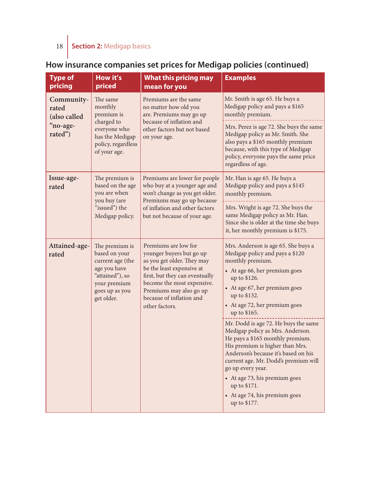### 18 **Section 2:** Medigap basics

### **How insurance companies set prices for Medigap policies (continued)**

| <b>Type of</b><br>pricing                                  | How it's<br>priced                                                                                                                     | <b>What this pricing may</b><br>mean for you                                                                                                                                                                                                         | <b>Examples</b>                                                                                                                                                                                                                                                                                                                                                                                                                                                                                                                                                                                         |
|------------------------------------------------------------|----------------------------------------------------------------------------------------------------------------------------------------|------------------------------------------------------------------------------------------------------------------------------------------------------------------------------------------------------------------------------------------------------|---------------------------------------------------------------------------------------------------------------------------------------------------------------------------------------------------------------------------------------------------------------------------------------------------------------------------------------------------------------------------------------------------------------------------------------------------------------------------------------------------------------------------------------------------------------------------------------------------------|
| Community-<br>rated<br>(also called<br>"no-age-<br>rated") | The same<br>monthly<br>premium is<br>charged to<br>everyone who<br>has the Medigap<br>policy, regardless<br>of your age.               | Premiums are the same<br>no matter how old you<br>are. Premiums may go up<br>because of inflation and<br>other factors but not based<br>on your age.                                                                                                 | Mr. Smith is age 65. He buys a<br>Medigap policy and pays a \$165<br>monthly premium.<br>Mrs. Perez is age 72. She buys the same<br>Medigap policy as Mr. Smith. She<br>also pays a \$165 monthly premium<br>because, with this type of Medigap<br>policy, everyone pays the same price<br>regardless of age.                                                                                                                                                                                                                                                                                           |
| Issue-age-<br>rated                                        | The premium is<br>based on the age<br>you are when<br>you buy (are<br>"issued") the<br>Medigap policy.                                 | Premiums are lower for people<br>who buy at a younger age and<br>won't change as you get older.<br>Premiums may go up because<br>of inflation and other factors<br>but not because of your age.                                                      | Mr. Han is age 65. He buys a<br>Medigap policy and pays a \$145<br>monthly premium.<br>Mrs. Wright is age 72. She buys the<br>same Medigap policy as Mr. Han.<br>Since she is older at the time she buys<br>it, her monthly premium is \$175.                                                                                                                                                                                                                                                                                                                                                           |
| Attained-age-<br>rated                                     | The premium is<br>based on your<br>current age (the<br>age you have<br>"attained"), so<br>your premium<br>goes up as you<br>get older. | Premiums are low for<br>younger buyers but go up<br>as you get older. They may<br>be the least expensive at<br>first, but they can eventually<br>become the most expensive.<br>Premiums may also go up<br>because of inflation and<br>other factors. | Mrs. Anderson is age 65. She buys a<br>Medigap policy and pays a \$120<br>monthly premium.<br>• At age 66, her premium goes<br>up to \$126.<br>• At age 67, her premium goes<br>up to \$132.<br>• At age 72, her premium goes<br>up to \$165.<br>Mr. Dodd is age 72. He buys the same<br>Medigap policy as Mrs. Anderson.<br>He pays a \$165 monthly premium.<br>His premium is higher than Mrs.<br>Anderson's because it's based on his<br>current age. Mr. Dodd's premium will<br>go up every year.<br>• At age 73, his premium goes<br>up to \$171.<br>• At age 74, his premium goes<br>up to \$177. |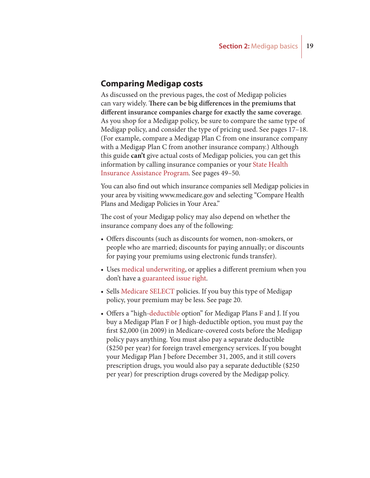#### **Comparing Medigap costs**

As discussed on the previous pages, the cost of Medigap policies can vary widely. **! ere can be big di" erences in the premiums that di" erent insurance companies charge for exactly the same coverage**. As you shop for a Medigap policy, be sure to compare the same type of Medigap policy, and consider the type of pricing used. See pages 17–18. (For example, compare a Medigap Plan C from one insurance company with a Medigap Plan C from another insurance company.) Although this guide **can't** give actual costs of Medigap policies, you can get this information by calling insurance companies or your State Health Insurance Assistance Program. See pages 49–50.

You can also find out which insurance companies sell Medigap policies in your area by visiting www.medicare.gov and selecting "Compare Health Plans and Medigap Policies in Your Area."

The cost of your Medigap policy may also depend on whether the insurance company does any of the following:

- Offers discounts (such as discounts for women, non-smokers, or people who are married; discounts for paying annually; or discounts for paying your premiums using electronic funds transfer).
- Uses medical underwriting, or applies a different premium when you don't have a guaranteed issue right.
- Sells Medicare SELECT policies. If you buy this type of Medigap policy, your premium may be less. See page 20.
- Offers a "high-deductible option" for Medigap Plans F and J. If you buy a Medigap Plan F or J high-deductible option, you must pay the first \$2,000 (in 2009) in Medicare-covered costs before the Medigap policy pays anything. You must also pay a separate deductible (\$250 per year) for foreign travel emergency services. If you bought your Medigap Plan J before December 31, 2005, and it still covers prescription drugs, you would also pay a separate deductible (\$250 per year) for prescription drugs covered by the Medigap policy.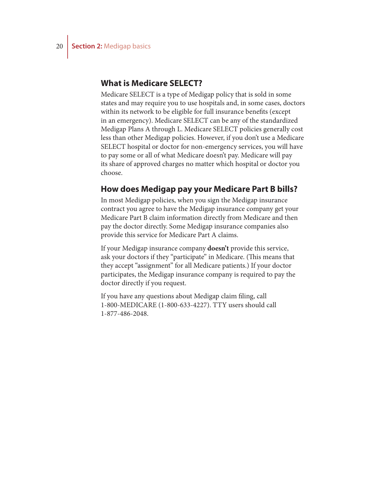#### **What is Medicare SELECT?**

Medicare SELECT is a type of Medigap policy that is sold in some states and may require you to use hospitals and, in some cases, doctors within its network to be eligible for full insurance benefits (except in an emergency). Medicare SELECT can be any of the standardized Medigap Plans A through L. Medicare SELECT policies generally cost less than other Medigap policies. However, if you don't use a Medicare SELECT hospital or doctor for non-emergency services, you will have to pay some or all of what Medicare doesn't pay. Medicare will pay its share of approved charges no matter which hospital or doctor you choose.

#### **How does Medigap pay your Medicare Part B bills?**

In most Medigap policies, when you sign the Medigap insurance contract you agree to have the Medigap insurance company get your Medicare Part B claim information directly from Medicare and then pay the doctor directly. Some Medigap insurance companies also provide this service for Medicare Part A claims.

If your Medigap insurance company **doesn't** provide this service, ask your doctors if they "participate" in Medicare. (This means that they accept "assignment" for all Medicare patients.) If your doctor participates, the Medigap insurance company is required to pay the doctor directly if you request.

If you have any questions about Medigap claim filing, call 1-800-MEDICARE (1-800-633-4227). TTY users should call 1-877-486-2048.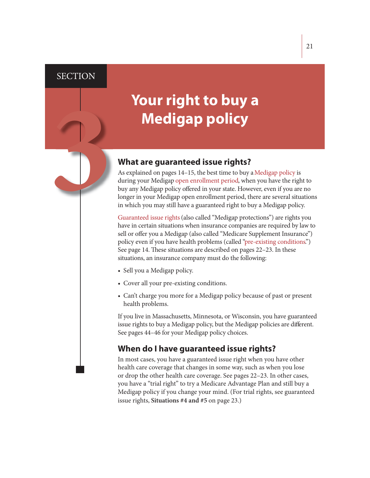#### **SECTION**

# **Your right to buy a**

**Medigap policy**<br> **3 What are guaranteed issue rights?**<br>
As explained on pages 14–15, the best time to buy a<br>
during your Medigap open enrollment period, where<br>
buy any Medigap policy offered in your state. Howe<br>
longer As explained on pages 14–15, the best time to buy a Medigap policy is during your Medigap open enrollment period, when you have the right to buy any Medigap policy offered in your state. However, even if you are no longer in your Medigap open enrollment period, there are several situations in which you may still have a guaranteed right to buy a Medigap policy.

Guaranteed issue rights (also called "Medigap protections") are rights you have in certain situations when insurance companies are required by law to sell or offer you a Medigap (also called "Medicare Supplement Insurance") policy even if you have health problems (called "pre-existing conditions.") See page 14. These situations are described on pages 22–23. In these situations, an insurance company must do the following:

- Sell you a Medigap policy.
- Cover all your pre-existing conditions.
- Can't charge you more for a Medigap policy because of past or present health problems.

If you live in Massachusetts, Minnesota, or Wisconsin, you have guaranteed issue rights to buy a Medigap policy, but the Medigap policies are different. See pages 44–46 for your Medigap policy choices.

#### **When do I have guaranteed issue rights?**

In most cases, you have a guaranteed issue right when you have other health care coverage that changes in some way, such as when you lose or drop the other health care coverage. See pages 22–23. In other cases, you have a "trial right" to try a Medicare Advantage Plan and still buy a Medigap policy if you change your mind. (For trial rights, see guaranteed issue rights, **Situations #4 and #5** on page 23.)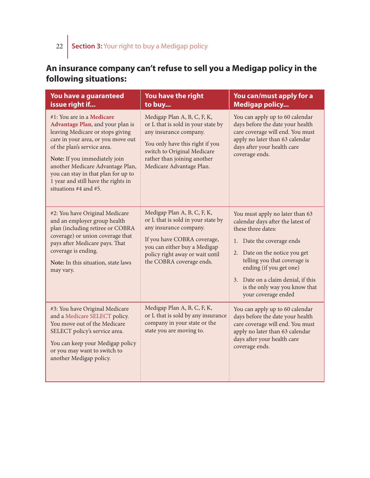### **An insurance company can't refuse to sell you a Medigap policy in the following situations:**

| You have a guaranteed<br>issue right if                                                                                                                                                                                                                                                                                                            | You have the right<br>to buy                                                                                                                                                                                              | You can/must apply for a<br><b>Medigap policy</b>                                                                                                                                                                                                                                                                 |
|----------------------------------------------------------------------------------------------------------------------------------------------------------------------------------------------------------------------------------------------------------------------------------------------------------------------------------------------------|---------------------------------------------------------------------------------------------------------------------------------------------------------------------------------------------------------------------------|-------------------------------------------------------------------------------------------------------------------------------------------------------------------------------------------------------------------------------------------------------------------------------------------------------------------|
| #1: You are in a Medicare<br>Advantage Plan, and your plan is<br>leaving Medicare or stops giving<br>care in your area, or you move out<br>of the plan's service area.<br>Note: If you immediately join<br>another Medicare Advantage Plan,<br>you can stay in that plan for up to<br>1 year and still have the rights in<br>situations #4 and #5. | Medigap Plan A, B, C, F, K,<br>or L that is sold in your state by<br>any insurance company.<br>You only have this right if you<br>switch to Original Medicare<br>rather than joining another<br>Medicare Advantage Plan.  | You can apply up to 60 calendar<br>days before the date your health<br>care coverage will end. You must<br>apply no later than 63 calendar<br>days after your health care<br>coverage ends.                                                                                                                       |
| #2: You have Original Medicare<br>and an employer group health<br>plan (including retiree or COBRA<br>coverage) or union coverage that<br>pays after Medicare pays. That<br>coverage is ending.<br>Note: In this situation, state laws<br>may vary.                                                                                                | Medigap Plan A, B, C, F, K,<br>or L that is sold in your state by<br>any insurance company.<br>If you have COBRA coverage,<br>you can either buy a Medigap<br>policy right away or wait until<br>the COBRA coverage ends. | You must apply no later than 63<br>calendar days after the latest of<br>these three dates:<br>1. Date the coverage ends<br>2. Date on the notice you get<br>telling you that coverage is<br>ending (if you get one)<br>3. Date on a claim denial, if this<br>is the only way you know that<br>your coverage ended |
| #3: You have Original Medicare<br>and a Medicare SELECT policy.<br>You move out of the Medicare<br>SELECT policy's service area.<br>You can keep your Medigap policy<br>or you may want to switch to<br>another Medigap policy.                                                                                                                    | Medigap Plan A, B, C, F, K,<br>or L that is sold by any insurance<br>company in your state or the<br>state you are moving to.                                                                                             | You can apply up to 60 calendar<br>days before the date your health<br>care coverage will end. You must<br>apply no later than 63 calendar<br>days after your health care<br>coverage ends.                                                                                                                       |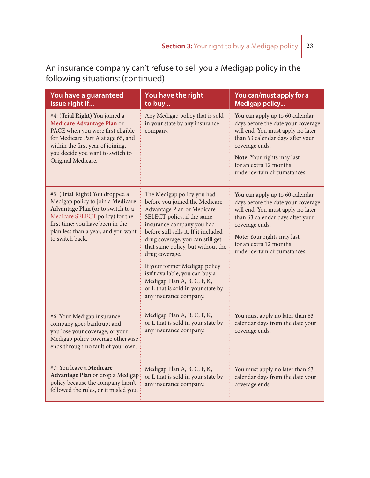#### An insurance company can't refuse to sell you a Medigap policy in the following situations: (continued)

| You have a guaranteed<br>issue right if                                                                                                                                                                                                    | You have the right<br>to buy                                                                                                                                                                                                                                                                                                                                                                                                                                | You can/must apply for a<br><b>Medigap policy</b>                                                                                                                                                                                                        |
|--------------------------------------------------------------------------------------------------------------------------------------------------------------------------------------------------------------------------------------------|-------------------------------------------------------------------------------------------------------------------------------------------------------------------------------------------------------------------------------------------------------------------------------------------------------------------------------------------------------------------------------------------------------------------------------------------------------------|----------------------------------------------------------------------------------------------------------------------------------------------------------------------------------------------------------------------------------------------------------|
| #4: (Trial Right) You joined a<br>Medicare Advantage Plan or<br>PACE when you were first eligible<br>for Medicare Part A at age 65, and<br>within the first year of joining,<br>you decide you want to switch to<br>Original Medicare.     | Any Medigap policy that is sold<br>in your state by any insurance<br>company.                                                                                                                                                                                                                                                                                                                                                                               | You can apply up to 60 calendar<br>days before the date your coverage<br>will end. You must apply no later<br>than 63 calendar days after your<br>coverage ends.<br>Note: Your rights may last<br>for an extra 12 months<br>under certain circumstances. |
| #5: (Trial Right) You dropped a<br>Medigap policy to join a Medicare<br>Advantage Plan (or to switch to a<br>Medicare SELECT policy) for the<br>first time; you have been in the<br>plan less than a year, and you want<br>to switch back. | The Medigap policy you had<br>before you joined the Medicare<br>Advantage Plan or Medicare<br>SELECT policy, if the same<br>insurance company you had<br>before still sells it. If it included<br>drug coverage, you can still get<br>that same policy, but without the<br>drug coverage.<br>If your former Medigap policy<br>isn't available, you can buy a<br>Medigap Plan A, B, C, F, K,<br>or L that is sold in your state by<br>any insurance company. | You can apply up to 60 calendar<br>days before the date your coverage<br>will end. You must apply no later<br>than 63 calendar days after your<br>coverage ends.<br>Note: Your rights may last<br>for an extra 12 months<br>under certain circumstances. |
| #6: Your Medigap insurance<br>company goes bankrupt and<br>you lose your coverage, or your<br>Medigap policy coverage otherwise<br>ends through no fault of your own.                                                                      | Medigap Plan A, B, C, F, K,<br>or L that is sold in your state by<br>any insurance company.                                                                                                                                                                                                                                                                                                                                                                 | You must apply no later than 63<br>calendar days from the date your<br>coverage ends.                                                                                                                                                                    |
| #7: You leave a Medicare<br>Advantage Plan or drop a Medigap<br>policy because the company hasn't<br>followed the rules, or it misled you.                                                                                                 | Medigap Plan A, B, C, F, K,<br>or L that is sold in your state by<br>any insurance company.                                                                                                                                                                                                                                                                                                                                                                 | You must apply no later than 63<br>calendar days from the date your<br>coverage ends.                                                                                                                                                                    |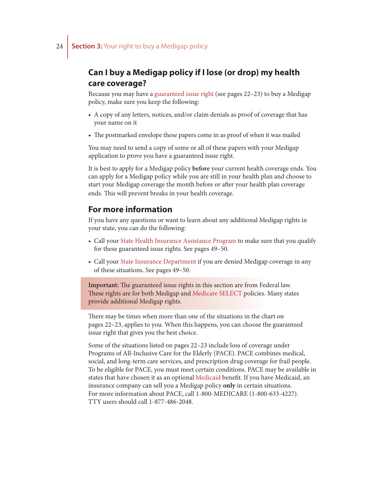#### **Can I buy a Medigap policy if I lose (or drop) my health care coverage?**

Because you may have a guaranteed issue right (see pages 22–23) to buy a Medigap policy, make sure you keep the following:

- A copy of any letters, notices, and/or claim denials as proof of coverage that has your name on it
- The postmarked envelope these papers come in as proof of when it was mailed

You may need to send a copy of some or all of these papers with your Medigap application to prove you have a guaranteed issue right.

It is best to apply for a Medigap policy **before** your current health coverage ends. You can apply for a Medigap policy while you are still in your health plan and choose to start your Medigap coverage the month before or after your health plan coverage ends. This will prevent breaks in your health coverage.

#### **For more information**

If you have any questions or want to learn about any additional Medigap rights in your state, you can do the following:

- Call your State Health Insurance Assistance Program to make sure that you qualify for these guaranteed issue rights. See pages 49–50.
- Call your State Insurance Department if you are denied Medigap coverage in any of these situations. See pages 49–50.

**Important:** The guaranteed issue rights in this section are from Federal law. These rights are for both Medigap and Medicare SELECT policies. Many states provide additional Medigap rights.

There may be times when more than one of the situations in the chart on pages 22–23, applies to you. When this happens, you can choose the guaranteed issue right that gives you the best choice.

Some of the situations listed on pages 22–23 include loss of coverage under Programs of All-Inclusive Care for the Elderly (PACE). PACE combines medical, social, and long-term care services, and prescription drug coverage for frail people. To be eligible for PACE, you must meet certain conditions. PACE may be available in states that have chosen it as an optional Medicaid benefit. If you have Medicaid, an insurance company can sell you a Medigap policy **only** in certain situations. For more information about PACE, call 1-800-MEDICARE (1-800-633-4227). TTY users should call 1-877-486-2048.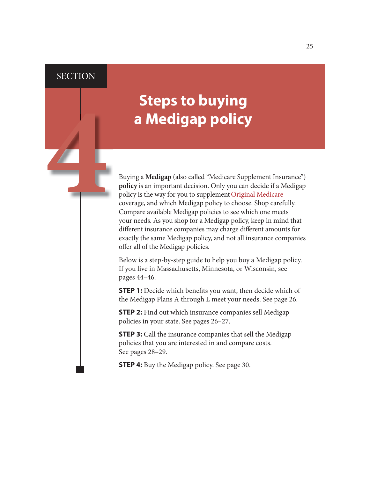#### **SECTION**

# **Steps to buying**

**a Medigap policy<br>
<b>a** Medigap policy<br> **a** Buying a Medigap (also called "Medicare Supplement Insurance")<br> **policy** is an important decision. Only you can decide if a Medigap<br>
policy is the way for you to supplement Origin **policy** is an important decision. Only you can decide if a Medigap policy is the way for you to supplement Original Medicare coverage, and which Medigap policy to choose. Shop carefully. Compare available Medigap policies to see which one meets your needs. As you shop for a Medigap policy, keep in mind that different insurance companies may charge different amounts for exactly the same Medigap policy, and not all insurance companies offer all of the Medigap policies.

> Below is a step-by-step guide to help you buy a Medigap policy. If you live in Massachusetts, Minnesota, or Wisconsin, see pages 44–46.

> **STEP 1:** Decide which benefits you want, then decide which of the Medigap Plans A through L meet your needs. See page 26.

**STEP 2:** Find out which insurance companies sell Medigap policies in your state. See pages 26–27.

**STEP 3:** Call the insurance companies that sell the Medigap policies that you are interested in and compare costs. See pages 28–29.

**STEP 4:** Buy the Medigap policy. See page 30.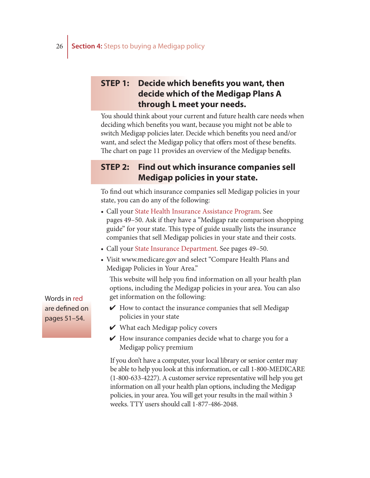#### **STEP 1: Decide which benefits you want, then decide which of the Medigap Plans A through L meet your needs.**

You should think about your current and future health care needs when deciding which benefits you want, because you might not be able to switch Medigap policies later. Decide which benefits you need and/or want, and select the Medigap policy that offers most of these benefits. The chart on page 11 provides an overview of the Medigap benefits.

#### **STEP 2: Find out which insurance companies sell Medigap policies in your state.**

To find out which insurance companies sell Medigap policies in your state, you can do any of the following:

- Call your State Health Insurance Assistance Program. See pages 49–50. Ask if they have a "Medigap rate comparison shopping guide" for your state. This type of guide usually lists the insurance companies that sell Medigap policies in your state and their costs.
- Call your State Insurance Department. See pages 49–50.
- Visit www.medicare.gov and select "Compare Health Plans and Medigap Policies in Your Area."

This website will help you find information on all your health plan options, including the Medigap policies in your area. You can also get information on the following:

- $\vee$  How to contact the insurance companies that sell Medigap policies in your state
- $\vee$  What each Medigap policy covers
- $\vee$  How insurance companies decide what to charge you for a Medigap policy premium

If you don't have a computer, your local library or senior center may be able to help you look at this information, or call 1-800-MEDICARE (1-800-633-4227). A customer service representative will help you get information on all your health plan options, including the Medigap policies, in your area. You will get your results in the mail within 3 weeks. TTY users should call 1-877-486-2048.

Words in red are defined on pages 51–54.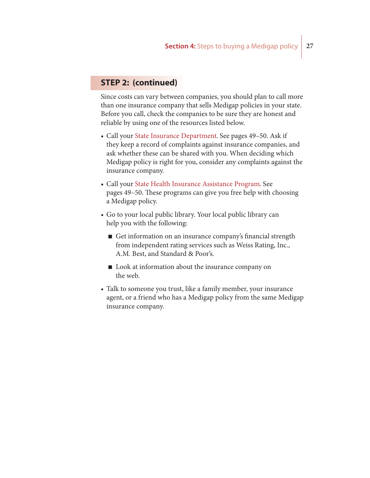#### **STEP 2: (continued)**

Since costs can vary between companies, you should plan to call more than one insurance company that sells Medigap policies in your state. Before you call, check the companies to be sure they are honest and reliable by using one of the resources listed below.

- Call your State Insurance Department. See pages 49–50. Ask if they keep a record of complaints against insurance companies, and ask whether these can be shared with you. When deciding which Medigap policy is right for you, consider any complaints against the insurance company.
- Call your State Health Insurance Assistance Program. See pages 49–50. These programs can give you free help with choosing a Medigap policy.
- Go to your local public library. Your local public library can help you with the following:
	- Get information on an insurance company's financial strength from independent rating services such as Weiss Rating, Inc., A.M. Best, and Standard & Poor's.
	- Look at information about the insurance company on the web.
- Talk to someone you trust, like a family member, your insurance agent, or a friend who has a Medigap policy from the same Medigap insurance company.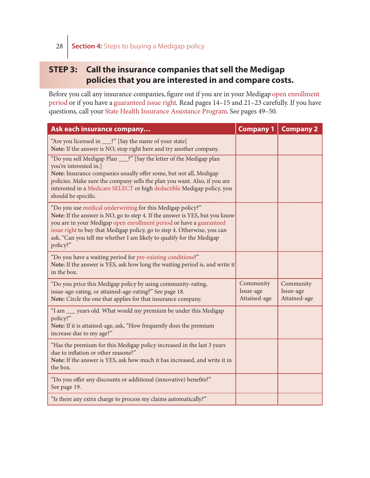#### **STEP 3: Call the insurance companies that sell the Medigap policies that you are interested in and compare costs.**

Before you call any insurance companies, figure out if you are in your Medigap open enrollment period or if you have a guaranteed issue right. Read pages 14–15 and 21–23 carefully. If you have questions, call your State Health Insurance Assistance Program. See pages 49–50.

| Ask each insurance company                                                                                                                                                                                                                                                                                                                                                       | <b>Company 1</b>                       | <b>Company 2</b>                       |
|----------------------------------------------------------------------------------------------------------------------------------------------------------------------------------------------------------------------------------------------------------------------------------------------------------------------------------------------------------------------------------|----------------------------------------|----------------------------------------|
| "Are you licensed in ___?" [Say the name of your state]<br>Note: If the answer is NO, stop right here and try another company.                                                                                                                                                                                                                                                   |                                        |                                        |
| "Do you sell Medigap Plan ___?" [Say the letter of the Medigap plan<br>you're interested in.]<br>Note: Insurance companies usually offer some, but not all, Medigap<br>policies. Make sure the company sells the plan you want. Also, if you are                                                                                                                                 |                                        |                                        |
| interested in a Medicare SELECT or high deductible Medigap policy, you<br>should be specific.                                                                                                                                                                                                                                                                                    |                                        |                                        |
| "Do you use medical underwriting for this Medigap policy?"<br>Note: If the answer is NO, go to step 4. If the answer is YES, but you know<br>you are in your Medigap open enrollment period or have a guaranteed<br>issue right to buy that Medigap policy, go to step 4. Otherwise, you can<br>ask, "Can you tell me whether I am likely to qualify for the Medigap<br>policy?" |                                        |                                        |
| "Do you have a waiting period for pre-existing conditions?"<br>Note: If the answer is YES, ask how long the waiting period is, and write it<br>in the box.                                                                                                                                                                                                                       |                                        |                                        |
| "Do you price this Medigap policy by using community-rating,<br>issue-age-rating, or attained-age-rating?" See page 18.<br>Note: Circle the one that applies for that insurance company.                                                                                                                                                                                         | Community<br>Issue-age<br>Attained-age | Community<br>Issue-age<br>Attained-age |
| "I am __ years old. What would my premium be under this Medigap<br>policy?"<br>Note: If it is attained-age, ask, "How frequently does the premium<br>increase due to my age?"                                                                                                                                                                                                    |                                        |                                        |
| "Has the premium for this Medigap policy increased in the last 3 years<br>due to inflation or other reasons?"<br>Note: If the answer is YES, ask how much it has increased, and write it in<br>the box.                                                                                                                                                                          |                                        |                                        |
| "Do you offer any discounts or additional (innovative) benefits?"<br>See page 19.                                                                                                                                                                                                                                                                                                |                                        |                                        |
| "Is there any extra charge to process my claims automatically?"                                                                                                                                                                                                                                                                                                                  |                                        |                                        |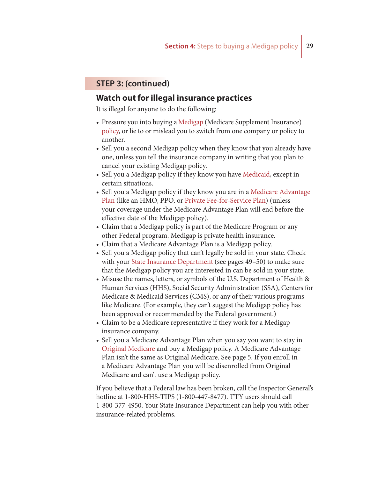#### **STEP 3: (continued)**

#### **Watch out for illegal insurance practices**

It is illegal for anyone to do the following:

- Pressure you into buying a Medigap (Medicare Supplement Insurance) policy, or lie to or mislead you to switch from one company or policy to another.
- Sell you a second Medigap policy when they know that you already have one, unless you tell the insurance company in writing that you plan to cancel your existing Medigap policy.
- Sell you a Medigap policy if they know you have Medicaid, except in certain situations.
- Sell you a Medigap policy if they know you are in a Medicare Advantage Plan (like an HMO, PPO, or Private Fee-for-Service Plan) (unless your coverage under the Medicare Advantage Plan will end before the effective date of the Medigap policy).
- Claim that a Medigap policy is part of the Medicare Program or any other Federal program. Medigap is private health insurance.
- Claim that a Medicare Advantage Plan is a Medigap policy.
- Sell you a Medigap policy that can't legally be sold in your state. Check with your State Insurance Department (see pages 49–50) to make sure that the Medigap policy you are interested in can be sold in your state.
- Misuse the names, letters, or symbols of the U.S. Department of Health & Human Services (HHS), Social Security Administration (SSA), Centers for Medicare & Medicaid Services (CMS), or any of their various programs like Medicare. (For example, they can't suggest the Medigap policy has been approved or recommended by the Federal government.)
- Claim to be a Medicare representative if they work for a Medigap insurance company.
- Sell you a Medicare Advantage Plan when you say you want to stay in Original Medicare and buy a Medigap policy. A Medicare Advantage Plan isn't the same as Original Medicare. See page 5. If you enroll in a Medicare Advantage Plan you will be disenrolled from Original Medicare and can't use a Medigap policy.

If you believe that a Federal law has been broken, call the Inspector General's hotline at 1-800-HHS-TIPS (1-800-447-8477). TTY users should call 1-800-377-4950. Your State Insurance Department can help you with other insurance-related problems.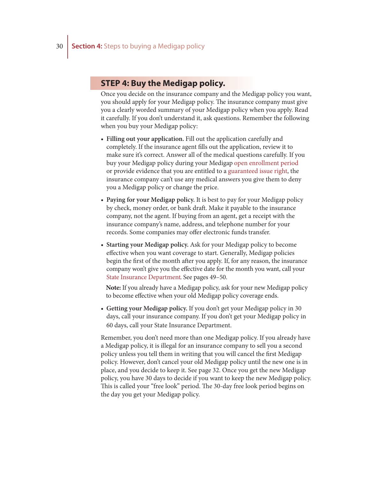#### **STEP 4: Buy the Medigap policy.**

Once you decide on the insurance company and the Medigap policy you want, you should apply for your Medigap policy. The insurance company must give you a clearly worded summary of your Medigap policy when you apply. Read it carefully. If you don't understand it, ask questions. Remember the following when you buy your Medigap policy:

- **Filling out your application.** Fill out the application carefully and completely. If the insurance agent fills out the application, review it to make sure it's correct. Answer all of the medical questions carefully. If you buy your Medigap policy during your Medigap open enrollment period or provide evidence that you are entitled to a guaranteed issue right, the insurance company can't use any medical answers you give them to deny you a Medigap policy or change the price.
- **Paying for your Medigap policy.** It is best to pay for your Medigap policy by check, money order, or bank draft. Make it payable to the insurance company, not the agent. If buying from an agent, get a receipt with the insurance company's name, address, and telephone number for your records. Some companies may offer electronic funds transfer.
- **Starting your Medigap policy.** Ask for your Medigap policy to become effective when you want coverage to start. Generally, Medigap policies begin the first of the month after you apply. If, for any reason, the insurance company won't give you the effective date for the month you want, call your State Insurance Department. See pages 49–50.

**Note:** If you already have a Medigap policy, ask for your new Medigap policy to become effective when your old Medigap policy coverage ends.

**• Getting your Medigap policy.** If you don't get your Medigap policy in 30 days, call your insurance company. If you don't get your Medigap policy in 60 days, call your State Insurance Department.

Remember, you don't need more than one Medigap policy. If you already have a Medigap policy, it is illegal for an insurance company to sell you a second policy unless you tell them in writing that you will cancel the first Medigap policy. However, don't cancel your old Medigap policy until the new one is in place, and you decide to keep it. See page 32. Once you get the new Medigap policy, you have 30 days to decide if you want to keep the new Medigap policy. This is called your "free look" period. The 30-day free look period begins on the day you get your Medigap policy.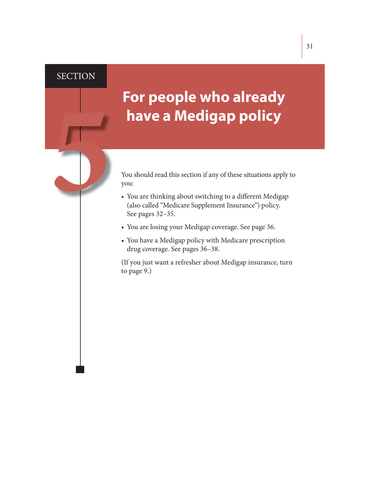#### **SECTION**

# **For people who already have a Medigap policy**<br> **have a Medigap policy**<br> **500** South read this section if any of these situations apply to<br> **500** You are thinking about switching to a different Medigap<br>
(also called "Medicare Supplement Insuranc

you:

- You are thinking about switching to a different Medigap (also called "Medicare Supplement Insurance") policy. See pages 32–35.
- You are losing your Medigap coverage. See page 36.
- You have a Medigap policy with Medicare prescription drug coverage. See pages 36–38.

(If you just want a refresher about Medigap insurance, turn to page 9.)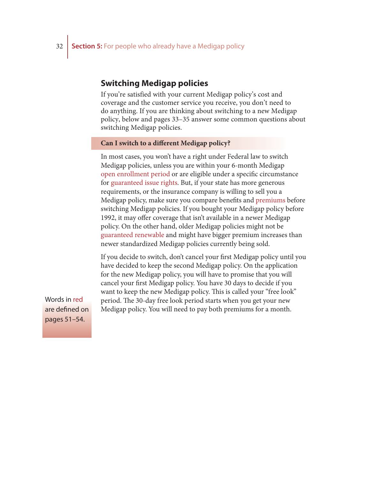#### **Switching Medigap policies**

If you're satisfied with your current Medigap policy's cost and coverage and the customer service you receive, you don't need to do anything. If you are thinking about switching to a new Medigap policy, below and pages 33–35 answer some common questions about switching Medigap policies.

#### **Can I switch to a different Medigap policy?**

In most cases, you won't have a right under Federal law to switch Medigap policies, unless you are within your 6-month Medigap open enrollment period or are eligible under a specific circumstance for guaranteed issue rights. But, if your state has more generous requirements, or the insurance company is willing to sell you a Medigap policy, make sure you compare benefits and premiums before switching Medigap policies. If you bought your Medigap policy before 1992, it may offer coverage that isn't available in a newer Medigap policy. On the other hand, older Medigap policies might not be guaranteed renewable and might have bigger premium increases than newer standardized Medigap policies currently being sold.

If you decide to switch, don't cancel your first Medigap policy until you have decided to keep the second Medigap policy. On the application for the new Medigap policy, you will have to promise that you will cancel your first Medigap policy. You have 30 days to decide if you want to keep the new Medigap policy. This is called your "free look" period. The 30-day free look period starts when you get your new Medigap policy. You will need to pay both premiums for a month.

Words in red are defined on pages 51–54.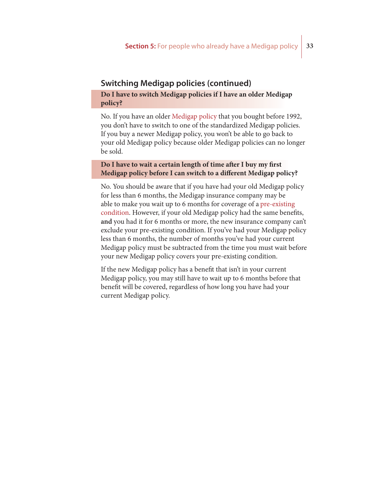#### **Switching Medigap policies (continued)**

#### **Do I have to switch Medigap policies if I have an older Medigap policy?**

No. If you have an older Medigap policy that you bought before 1992, you don't have to switch to one of the standardized Medigap policies. If you buy a newer Medigap policy, you won't be able to go back to your old Medigap policy because older Medigap policies can no longer be sold.

#### **Do I have to wait a certain length of time after I buy my first Medigap policy before I can switch to a different Medigap policy?**

No. You should be aware that if you have had your old Medigap policy for less than 6 months, the Medigap insurance company may be able to make you wait up to 6 months for coverage of a pre-existing condition. However, if your old Medigap policy had the same benefits, **and** you had it for 6 months or more, the new insurance company can't exclude your pre-existing condition. If you've had your Medigap policy less than 6 months, the number of months you've had your current Medigap policy must be subtracted from the time you must wait before your new Medigap policy covers your pre-existing condition.

If the new Medigap policy has a benefit that isn't in your current Medigap policy, you may still have to wait up to 6 months before that benefit will be covered, regardless of how long you have had your current Medigap policy.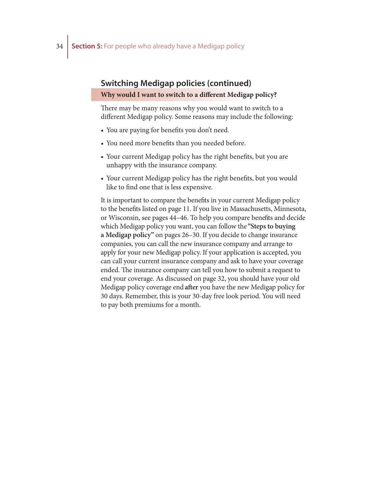#### **Switching Medigap policies (continued) Why would I want to switch to a different Medigap policy?**

There may be many reasons why you would want to switch to a different Medigap policy. Some reasons may include the following:

- You are paying for benefits you don't need.
- You need more benefits than you needed before.
- Your current Medigap policy has the right benefits, but you are unhappy with the insurance company.
- Your current Medigap policy has the right benefits, but you would like to find one that is less expensive.

It is important to compare the benefits in your current Medigap policy to the benefits listed on page 11. If you live in Massachusetts, Minnesota, or Wisconsin, see pages 44–46. To help you compare benefits and decide which Medigap policy you want, you can follow the **"Steps to buying a Medigap policy"** on pages 26–30. If you decide to change insurance companies, you can call the new insurance company and arrange to apply for your new Medigap policy. If your application is accepted, you can call your current insurance company and ask to have your coverage ended. The insurance company can tell you how to submit a request to end your coverage. As discussed on page 32, you should have your old Medigap policy coverage end **a# er** you have the new Medigap policy for 30 days. Remember, this is your 30-day free look period. You will need to pay both premiums for a month.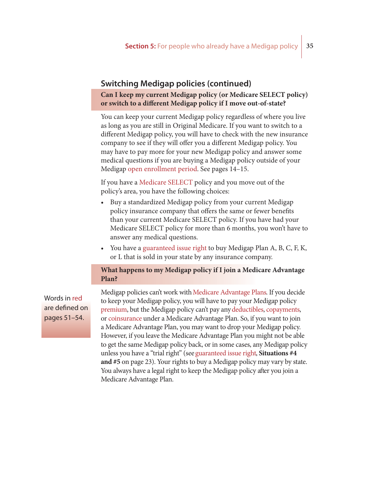#### **Switching Medigap policies (continued)**

**Can I keep my current Medigap policy (or Medicare SELECT policy) or switch to a di# erent Medigap policy if I move out-of-state?** 

You can keep your current Medigap policy regardless of where you live as long as you are still in Original Medicare. If you want to switch to a different Medigap policy, you will have to check with the new insurance company to see if they will offer you a different Medigap policy. You may have to pay more for your new Medigap policy and answer some medical questions if you are buying a Medigap policy outside of your Medigap open enrollment period. See pages 14–15.

If you have a Medicare SELECT policy and you move out of the policy's area, you have the following choices:

- Buy a standardized Medigap policy from your current Medigap policy insurance company that offers the same or fewer benefits than your current Medicare SELECT policy. If you have had your Medicare SELECT policy for more than 6 months, you won't have to answer any medical questions.
- You have a guaranteed issue right to buy Medigap Plan A, B, C, F, K, or L that is sold in your state by any insurance company.

#### **What happens to my Medigap policy if I join a Medicare Advantage Plan?**

Words in red are defined on pages 51–54.

Medigap policies can't work with Medicare Advantage Plans. If you decide to keep your Medigap policy, you will have to pay your Medigap policy premium, but the Medigap policy can't pay any deductibles, copayments, or coinsurance under a Medicare Advantage Plan. So, if you want to join a Medicare Advantage Plan, you may want to drop your Medigap policy. However, if you leave the Medicare Advantage Plan you might not be able to get the same Medigap policy back, or in some cases, any Medigap policy unless you have a "trial right" (see guaranteed issue right, **Situations #4 and #5** on page 23). Your rights to buy a Medigap policy may vary by state. You always have a legal right to keep the Medigap policy after you join a Medicare Advantage Plan.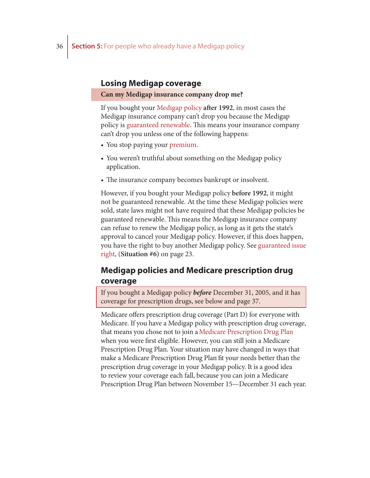#### **Losing Medigap coverage**

#### **Can my Medigap insurance company drop me?**

If you bought your Medigap policy **a# er 1992**, in most cases the Medigap insurance company can't drop you because the Medigap policy is guaranteed renewable. This means your insurance company can't drop you unless one of the following happens:

- You stop paying your premium.
- You weren't truthful about something on the Medigap policy application.
- The insurance company becomes bankrupt or insolvent.

However, if you bought your Medigap policy **before 1992**, it might not be guaranteed renewable. At the time these Medigap policies were sold, state laws might not have required that these Medigap policies be guaranteed renewable. This means the Medigap insurance company can refuse to renew the Medigap policy, as long as it gets the state's approval to cancel your Medigap policy. However, if this does happen, you have the right to buy another Medigap policy. See guaranteed issue right, (**Situation #6)** on page 23.

#### **Medigap policies and Medicare prescription drug coverage**

If you bought a Medigap policy **before** December 31, 2005, and it has coverage for prescription drugs, see below and page 37.

Medicare offers prescription drug coverage (Part D) for everyone with Medicare. If you have a Medigap policy with prescription drug coverage, that means you chose not to join a Medicare Prescription Drug Plan when you were first eligible. However, you can still join a Medicare Prescription Drug Plan. Your situation may have changed in ways that make a Medicare Prescription Drug Plan fit your needs better than the prescription drug coverage in your Medigap policy. It is a good idea to review your coverage each fall, because you can join a Medicare Prescription Drug Plan between November 15—December 31 each year.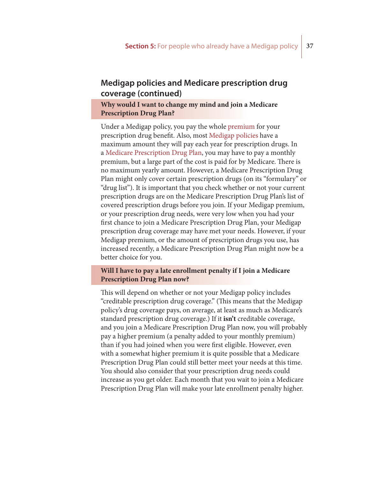#### **Medigap policies and Medicare prescription drug coverage (continued)**

**Why would I want to change my mind and join a Medicare Prescription Drug Plan?** 

Under a Medigap policy, you pay the whole premium for your prescription drug benefit. Also, most Medigap policies have a maximum amount they will pay each year for prescription drugs. In a Medicare Prescription Drug Plan, you may have to pay a monthly premium, but a large part of the cost is paid for by Medicare. There is no maximum yearly amount. However, a Medicare Prescription Drug Plan might only cover certain prescription drugs (on its "formulary" or "drug list"). It is important that you check whether or not your current prescription drugs are on the Medicare Prescription Drug Plan's list of covered prescription drugs before you join. If your Medigap premium, or your prescription drug needs, were very low when you had your first chance to join a Medicare Prescription Drug Plan, your Medigap prescription drug coverage may have met your needs. However, if your Medigap premium, or the amount of prescription drugs you use, has increased recently, a Medicare Prescription Drug Plan might now be a better choice for you.

#### **Will I have to pay a late enrollment penalty if I join a Medicare Prescription Drug Plan now?**

This will depend on whether or not your Medigap policy includes "creditable prescription drug coverage." (This means that the Medigap policy's drug coverage pays, on average, at least as much as Medicare's standard prescription drug coverage.) If it **isn't** creditable coverage, and you join a Medicare Prescription Drug Plan now, you will probably pay a higher premium (a penalty added to your monthly premium) than if you had joined when you were first eligible. However, even with a somewhat higher premium it is quite possible that a Medicare Prescription Drug Plan could still better meet your needs at this time. You should also consider that your prescription drug needs could increase as you get older. Each month that you wait to join a Medicare Prescription Drug Plan will make your late enrollment penalty higher.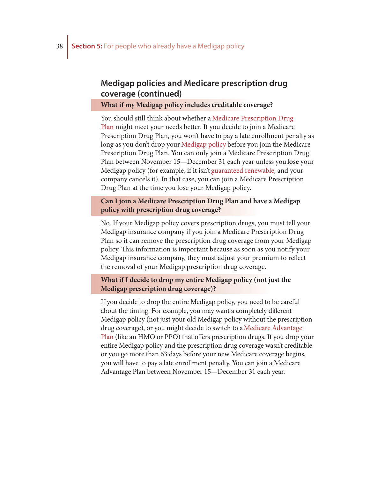#### **Medigap policies and Medicare prescription drug coverage (continued)**

**What if my Medigap policy includes creditable coverage?** 

You should still think about whether a Medicare Prescription Drug Plan might meet your needs better. If you decide to join a Medicare Prescription Drug Plan, you won't have to pay a late enrollment penalty as long as you don't drop your Medigap policy before you join the Medicare Prescription Drug Plan. You can only join a Medicare Prescription Drug Plan between November 15—December 31 each year unless you **lose** your Medigap policy (for example, if it isn't guaranteed renewable, and your company cancels it). In that case, you can join a Medicare Prescription Drug Plan at the time you lose your Medigap policy.

#### **Can I join a Medicare Prescription Drug Plan and have a Medigap policy with prescription drug coverage?**

No. If your Medigap policy covers prescription drugs, you must tell your Medigap insurance company if you join a Medicare Prescription Drug Plan so it can remove the prescription drug coverage from your Medigap policy. This information is important because as soon as you notify your Medigap insurance company, they must adjust your premium to reflect the removal of your Medigap prescription drug coverage.

#### **What if I decide to drop my entire Medigap policy (not just the Medigap prescription drug coverage)?**

If you decide to drop the entire Medigap policy, you need to be careful about the timing. For example, you may want a completely different Medigap policy (not just your old Medigap policy without the prescription drug coverage), or you might decide to switch to a Medicare Advantage Plan (like an HMO or PPO) that offers prescription drugs. If you drop your entire Medigap policy and the prescription drug coverage wasn't creditable or you go more than 63 days before your new Medicare coverage begins, you **will** have to pay a late enrollment penalty. You can join a Medicare Advantage Plan between November 15—December 31 each year.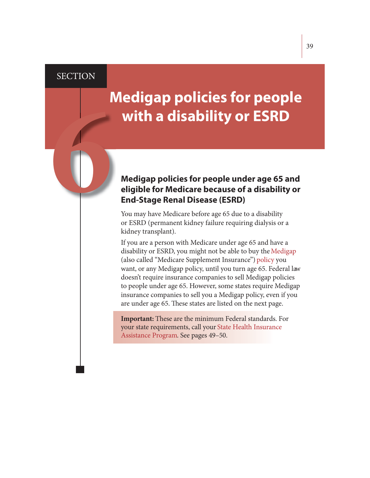#### **SECTION**

# **Medigap policies for people**

# **with a disability or ESRD**<br> **66 Medigap policies for people under age 65 and<br>
eligible for Medicare because of a disability or<br>
End-Stage Renal Disease (ESRD)<br>
You may have Medicare before age 65 due to a disability<br>
or E eligible for Medicare because of a disability or End-Stage Renal Disease (ESRD)**

You may have Medicare before age 65 due to a disability or ESRD (permanent kidney failure requiring dialysis or a kidney transplant).

If you are a person with Medicare under age 65 and have a disability or ESRD, you might not be able to buy the Medigap (also called "Medicare Supplement Insurance") policy you want, or any Medigap policy, until you turn age 65. Federal law doesn't require insurance companies to sell Medigap policies to people under age 65. However, some states require Medigap insurance companies to sell you a Medigap policy, even if you are under age 65. These states are listed on the next page.

**Important:** These are the minimum Federal standards. For your state requirements, call your State Health Insurance Assistance Program. See pages 49–50.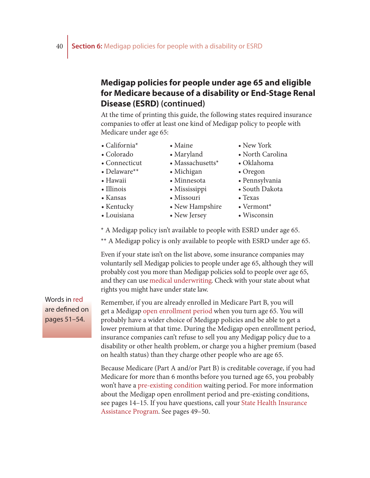#### **Medigap policies for people under age 65 and eligible for Medicare because of a disability or End-Stage Renal Disease (ESRD) (continued)**

At the time of printing this guide, the following states required insurance companies to offer at least one kind of Medigap policy to people with Medicare under age 65:

• California\*

• Colorado • Connecticut • Delaware\*\* • Hawaii • Illinois • Kansas

- Maine
- Maryland
	- Massachusetts\*
	- Michigan
	- Minnesota
	- Mississippi
	- Missouri
	- New Hampshire • New Jersey
- 
- Kentucky
- Louisiana
- \* A Medigap policy isn't available to people with ESRD under age 65.
- \*\* A Medigap policy is only available to people with ESRD under age 65.

Even if your state isn't on the list above, some insurance companies may voluntarily sell Medigap policies to people under age 65, although they will probably cost you more than Medigap policies sold to people over age 65, and they can use medical underwriting. Check with your state about what rights you might have under state law.

Words in red are defined on pages 51–54.

Remember, if you are already enrolled in Medicare Part B, you will get a Medigap open enrollment period when you turn age 65. You will probably have a wider choice of Medigap policies and be able to get a lower premium at that time. During the Medigap open enrollment period, insurance companies can't refuse to sell you any Medigap policy due to a disability or other health problem, or charge you a higher premium (based on health status) than they charge other people who are age 65.

Because Medicare (Part A and/or Part B) is creditable coverage, if you had Medicare for more than 6 months before you turned age 65, you probably won't have a pre-existing condition waiting period. For more information about the Medigap open enrollment period and pre-existing conditions, see pages 14–15. If you have questions, call your State Health Insurance Assistance Program. See pages 49–50.

- New York
- North Carolina
- Oklahoma
- Oregon
- Pennsylvania
- South Dakota
- Texas • Vermont\*
- Wisconsin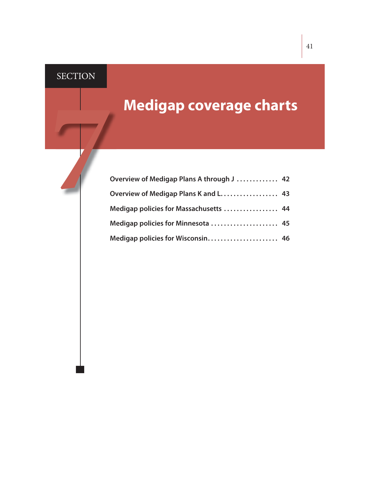### **SECTION**

| <b>Medigap coverage charts</b>            |
|-------------------------------------------|
|                                           |
| Overview of Medigap Plans A through J  42 |
| Overview of Medigap Plans K and L 43      |
| Medigap policies for Massachusetts  44    |
| Medigap policies for Minnesota  45        |
| Medigap policies for Wisconsin 46         |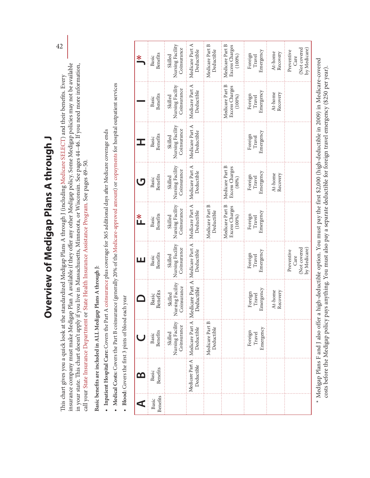| J<br>١<br>ı<br>ו<br>ו<br>ı<br>i<br>ı<br>j<br>ı<br>J<br>í<br>ı<br>$\frac{1}{2}$<br>I<br>I<br>ı |  |
|-----------------------------------------------------------------------------------------------|--|
|                                                                                               |  |
|                                                                                               |  |
|                                                                                               |  |
|                                                                                               |  |
|                                                                                               |  |
|                                                                                               |  |

insurance company must make Medigap Plan A available if they offer any other Medigap policy. Some Medigap policies may not be available in your state. ! is chart doesn't apply if you live in Massachusetts, Minnesota, or Wisconsin. See pages 44–46. If you need more information, insurance company must make Medigap Plan A available if they offer any other Medigap policy. Some Medigap policies may not be available in your state. This chart doesn't apply if you live in Massachusetts, Minnesota, or Wisconsin. See pages 44-46. If you need more information, This chart gives you a quick look at the standardized Medigap Plans A through J (including Medicare SELECT) and their benefits. Every This chart gives you a quick look at the standardized Medigap Plans A through J (including Medicare SELECT) and their benefits. Every call your State Insurance Department or State Health Insurance Assistance Program. See pages 49–50. call your State Insurance Department or State Health Insurance Assistance Program. See pages 49-50.

Basic benefits are included in ALL Medigap Plans A through J: **Basic bene\$ ts are included in ALL Medigap Plans A through J:** 

- Inpatient Hospital Care: Covers the Part A coinsurance plus coverage for 365 additional days after Medicare coverage ends • Inpatient Hospital Care: Covers the Part A coinsurance plus coverage for 365 additional days after Medicare coverage ends **Inpatient Hospital Care:**
- Medical Costs: Covers the Part B coinsurance (generally 20% of the Medicare-approved amount) or copayments for hospital outpatient services **Medical Costs: •** Covers the Part B coinsurance (generally 20% of the Medicare-approved amount) or copayments for hospital outpatient services
- Blood: Covers the first 3 pints of blood each year **Blood: •** Covers the first 3 pints of blood each year

| $\frac{*}{+}$ | Benefits<br>Basic               | Nursing Facility<br>Coinsurance<br>Skilled                    | Medicare Part A<br>Deductible                                                       | Medicare Part B<br>Deductible | Medicare Part B<br>Excess Charges<br>(100%) | Emergency<br>Foreign<br>Travel | At-home<br>Recovery | (Not covered<br>by Medicare)<br>Preventive<br>Care |
|---------------|---------------------------------|---------------------------------------------------------------|-------------------------------------------------------------------------------------|-------------------------------|---------------------------------------------|--------------------------------|---------------------|----------------------------------------------------|
|               | <b>Benefits</b><br><b>Basic</b> | Nursing Facility<br>Coinsurance<br>Skilled                    | Medicare Part A<br>Deductible                                                       |                               | Medicare Part B<br>Excess Charges<br>(100%  | Emergency<br>Foreign<br>Travel | At-home<br>Recovery |                                                    |
|               | Benefits<br>Basic               | Nursing Facility<br>Coinsurance<br>Skilled                    | Medicare Part A<br>Deductible                                                       |                               |                                             | Emergency<br>Foreign<br>Travel |                     |                                                    |
|               | Benefits<br>Basic               | Nursing Facility<br>Coinsurance<br>Skilled                    | Medicare Part A<br>Deductible                                                       |                               | Medicare Part B<br>Excess Charges<br>(80%)  | Emergency<br>Foreign<br>Travel | At-home<br>Recovery |                                                    |
| ¥<br>⊔        | Benefits<br>Basic               | Nursing Facility<br>Coinsurance<br>Skilled                    | Medicare Part A<br>Deductible                                                       | Medicare Part B<br>Deductible | Medicare Part B<br>Excess Charges<br>(100%) | Emergency<br>Foreign<br>Travel |                     |                                                    |
|               | Benefits<br>Basic               | Nursing Facility<br>Coinsurance<br>Skilled                    | Deductible                                                                          |                               |                                             | Emergency<br>Foreign<br>Travel |                     | (Not covered<br>by Medicare)<br>Preventive<br>Care |
|               | <b>Benefits</b><br>Basic        | Nursing Facility : Nursing Facility<br>Coinsurance<br>Skilled | Deductible                                                                          |                               |                                             | Emergency<br>Foreign<br>Travel | At-home<br>Recovery |                                                    |
|               | <b>Benefits</b><br>Basic        | Coinsurance<br>Skilled                                        | Medicare Part A : Medicare Part A : Medicare Part A : Medicare Part A<br>Deductible | Medicare Part B<br>Deductible |                                             | Emergency<br>Foreign<br>Travel |                     |                                                    |
|               | Benefits<br>Basic               |                                                               | Deductible                                                                          |                               |                                             |                                |                     |                                                    |
|               | Benefits<br>Basic               |                                                               |                                                                                     |                               |                                             |                                |                     |                                                    |

\* Medigap Plans F and J also offer a high-deductible option. You must pay the first \$2,000 (high-deductible in 2009) in Medicare-covered \* Medigap Plans F and J also offer a high-deductible option. You must pay the first \$2,000 (high-deductible in 2009) in Medicare-covered costs before the Medigap policy pays anything. You must also pay a separate deductible for foreign travel emergency (\$250 per year). costs before the Medigap policy pays anything. You must also pay a separate deductible for foreign travel emergency (\$250 per year).

42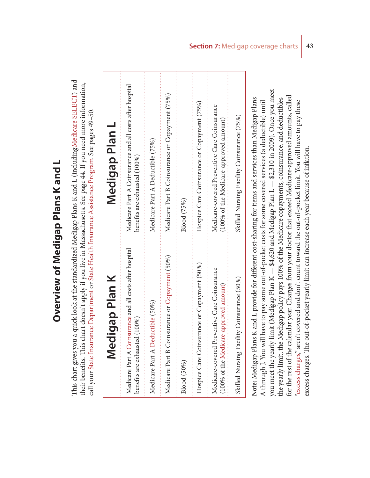This chart gives you a quick look at the standardized Medigap Plans K and L (including Medicare SELECT) and This chart gives you a quick look at the standardized Medigap Plans K and L (including Medicare SELECT) and

**Overview of Medigap Plans K and L** 

**Overview of Medigap Plans Kand L** 

their benefits. This chart doesn't apply if you live in Massachusetts. See page 44. If you need more information, their benefits. This chart doesn't apply if you live in Massachusetts. See page 44. If you need more information, call your State Insurance Department or State Health Insurance Assistance Program. See pages 49–50. call your State Insurance Department or State Health Insurance Assistance Program. See pages 49-50.

| ligap Plan K<br>Med                                                                       | Medigap Plan L                                                                            |
|-------------------------------------------------------------------------------------------|-------------------------------------------------------------------------------------------|
| Medicare Part A Coinsurance and all costs after hospital<br>benefits are exhausted (100%) | Medicare Part A Coinsurance and all costs after hospital<br>benefits are exhausted (100%) |
| Medicare Part A Deductible (50%)                                                          | Medicare Part A Deductible (75%)                                                          |
| Medicare Part B Coinsurance or Copayment (50%)                                            | Medicare Part B Coinsurance or Copayment (75%)                                            |
| Blood (50%)                                                                               | Blood (75%)                                                                               |
| Hospice Care Coinsurance or Copayment (50%)                                               | Hospice Care Coinsurance or Copayment (75%)                                               |
| Medicare-covered Preventive Care Coinsurance<br>(100% of the Medicare-approved amount)    | Medicare-covered Preventive Care Coinsurance<br>(100% of the Medicare-approved amount)    |
| Skilled Nursing Facility Coinsurance (50%)                                                | Skilled Nursing Facility Coinsurance (75%)                                                |
| Note: Medigap Plans                                                                       | K and L provide for different cost-sharing for items and services than Medigap Plans      |

you meet the yearly limit (Medigap Plan K — \$4,620 and Medigap Plan L — \$2,310 in 2009). Once you meet you meet the yearly limit (Medigap Plan K — \$4,620 and Medigap Plan L — \$2,310 in 2009). Once you meet for the rest of the calendar year. Charges from your doctor that exceed Medicare-approved amounts, called for the rest of the calendar year. Charges from your doctor that exceed Medicare-approved amounts, called the yearly limit, the Medigap policy pays 100% of the Medicare copayments, coinsurance, and deductibles the yearly limit, the Medigap policy pays 100% of the Medicare copayments, coinsurance, and deductibles 'excess charges," aren't covered and don't count toward the out-of-pocket limit. You will have to pay these "excess charges," aren't covered and don't count toward the out-of-pocket limit. You will have to pay these A through J. You will have to pay some out-of-pocket costs for some covered services (a deductible) until A through J. You will have to pay some out-of-pocket costs for some covered services (a deductible) until excess charges. The out-of-pocket yearly limit can increase each year because of inflation. excess charges. The out-of-pocket yearly limit can increase each year because of inflation.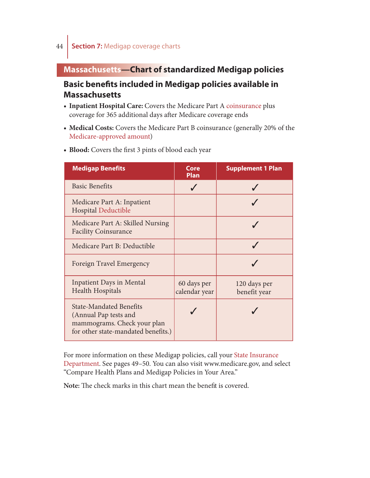### 44 **Section 7:** Medigap coverage charts

#### **Massachusetts—Chart of standardized Medigap policies**

#### **Basic bene# ts included in Medigap policies available in Massachusetts**

- **Inpatient Hospital Care:** Covers the Medicare Part A coinsurance plus coverage for 365 additional days after Medicare coverage ends
- **Medical Costs:** Covers the Medicare Part B coinsurance (generally 20% of the Medicare-approved amount)

| <b>Medigap Benefits</b>                                                                                                       | <b>Core</b><br>Plan          | <b>Supplement 1 Plan</b>     |
|-------------------------------------------------------------------------------------------------------------------------------|------------------------------|------------------------------|
| <b>Basic Benefits</b>                                                                                                         |                              |                              |
| Medicare Part A: Inpatient<br><b>Hospital Deductible</b>                                                                      |                              |                              |
| Medicare Part A: Skilled Nursing<br><b>Facility Coinsurance</b>                                                               |                              |                              |
| Medicare Part B: Deductible                                                                                                   |                              |                              |
| <b>Foreign Travel Emergency</b>                                                                                               |                              |                              |
| <b>Inpatient Days in Mental</b><br><b>Health Hospitals</b>                                                                    | 60 days per<br>calendar year | 120 days per<br>benefit year |
| <b>State-Mandated Benefits</b><br>(Annual Pap tests and<br>mammograms. Check your plan<br>for other state-mandated benefits.) |                              |                              |

• Blood: Covers the first 3 pints of blood each year

For more information on these Medigap policies, call your State Insurance Department. See pages 49–50. You can also visit www.medicare.gov, and select "Compare Health Plans and Medigap Policies in Your Area."

Note: The check marks in this chart mean the benefit is covered.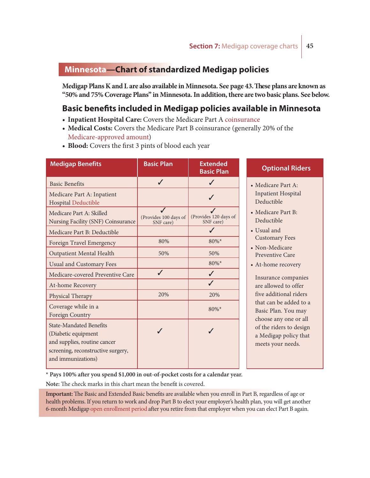#### **Minnesota—Chart of standardized Medigap policies**

Medigap Plans K and L are also available in Minnesota. See page 43. These plans are known as **"50% and 75% Coverage Plans" in Minnesota. In addition, there are two basic plans. See below.** 

#### **Basic bene# ts included in Medigap policies available in Minnesota**

- **Inpatient Hospital Care:** Covers the Medicare Part A coinsurance
- **Medical Costs:** Covers the Medicare Part B coinsurance (generally 20% of the Medicare-approved amount)
- Blood: Covers the first 3 pints of blood each year

| <b>Medigap Benefits</b>                                                                                                                           | <b>Basic Plan</b>                  | <b>Extended</b><br><b>Basic Plan</b> | <b>Optional Riders</b>                                                                         |
|---------------------------------------------------------------------------------------------------------------------------------------------------|------------------------------------|--------------------------------------|------------------------------------------------------------------------------------------------|
| <b>Basic Benefits</b>                                                                                                                             | $\checkmark$                       | J                                    | • Medicare Part A:                                                                             |
| Medicare Part A: Inpatient<br><b>Hospital Deductible</b>                                                                                          |                                    | ✓                                    | <b>Inpatient Hospital</b><br>Deductible                                                        |
| Medicare Part A: Skilled<br>Nursing Facility (SNF) Coinsurance                                                                                    | (Provides 100 days of<br>SNF care) | (Provides 120 days of<br>SNF care)   | • Medicare Part B:<br>Deductible                                                               |
| Medicare Part B: Deductible                                                                                                                       |                                    |                                      | • Usual and                                                                                    |
| Foreign Travel Emergency                                                                                                                          | 80%                                | 80%*                                 | <b>Customary Fees</b>                                                                          |
| <b>Outpatient Mental Health</b>                                                                                                                   | 50%                                | 50%                                  | • Non-Medicare<br>Preventive Care                                                              |
| <b>Usual and Customary Fees</b>                                                                                                                   |                                    | 80%*                                 | • At-home recovery                                                                             |
| Medicare-covered Preventive Care                                                                                                                  | $\checkmark$                       | $\checkmark$                         | Insurance companies                                                                            |
| At-home Recovery                                                                                                                                  |                                    | $\checkmark$                         | are allowed to offer                                                                           |
| Physical Therapy                                                                                                                                  | 20%                                | 20%                                  | five additional riders                                                                         |
| Coverage while in a<br>Foreign Country                                                                                                            |                                    | $80\%$ *                             | that can be added to a<br>Basic Plan. You may                                                  |
| <b>State-Mandated Benefits</b><br>(Diabetic equipment<br>and supplies, routine cancer<br>screening, reconstructive surgery,<br>and immunizations) |                                    |                                      | choose any one or all<br>of the riders to design<br>a Medigap policy that<br>meets your needs. |

**\* Pays 100% a# er you spend \$1,000 in out-of-pocket costs for a calendar year.** 

Note: The check marks in this chart mean the benefit is covered.

Important: The Basic and Extended Basic benefits are available when you enroll in Part B, regardless of age or health problems. If you return to work and drop Part B to elect your employer's health plan, you will get another 6-month Medigap open enrollment period after you retire from that employer when you can elect Part B again.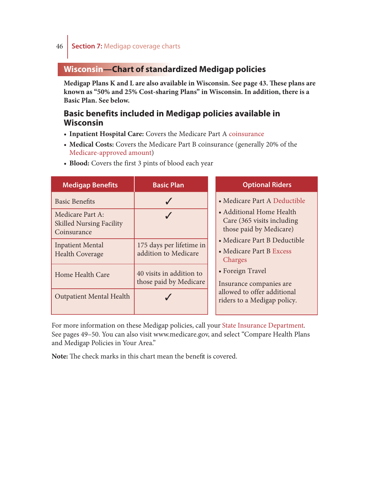#### **Wisconsin—Chart of standardized Medigap policies**

**Medigap Plans K and L are also available in Wisconsin. See page 43. These plans are known as "50% and 25% Cost-sharing Plans" in Wisconsin. In addition, there is a Basic Plan. See below.** 

#### **Basic benefits included in Medigap policies available in Wisconsin**

- **Inpatient Hospital Care:** Covers the Medicare Part A coinsurance
- **Medical Costs:** Covers the Medicare Part B coinsurance (generally 20% of the Medicare-approved amount)

| <b>Medigap Benefits</b>                                            | <b>Basic Plan</b>                                  | <b>Optional Riders</b>                                                            |  |  |
|--------------------------------------------------------------------|----------------------------------------------------|-----------------------------------------------------------------------------------|--|--|
| <b>Basic Benefits</b>                                              | J                                                  | • Medicare Part A Deductible                                                      |  |  |
| Medicare Part A:<br><b>Skilled Nursing Facility</b><br>Coinsurance | J                                                  | • Additional Home Health<br>Care (365 visits including<br>those paid by Medicare) |  |  |
| <b>Inpatient Mental</b><br><b>Health Coverage</b>                  | 175 days per lifetime in<br>addition to Medicare   | • Medicare Part B Deductible<br>• Medicare Part B Excess<br>Charges               |  |  |
| Home Health Care                                                   | 40 visits in addition to<br>those paid by Medicare | • Foreign Travel<br>Insurance companies are                                       |  |  |
| <b>Outpatient Mental Health</b>                                    |                                                    | allowed to offer additional<br>riders to a Medigap policy.                        |  |  |

• **Blood:** Covers the first 3 pints of blood each year

For more information on these Medigap policies, call your State Insurance Department. See pages 49–50. You can also visit www.medicare.gov, and select "Compare Health Plans and Medigap Policies in Your Area."

**Note:** The check marks in this chart mean the benefit is covered.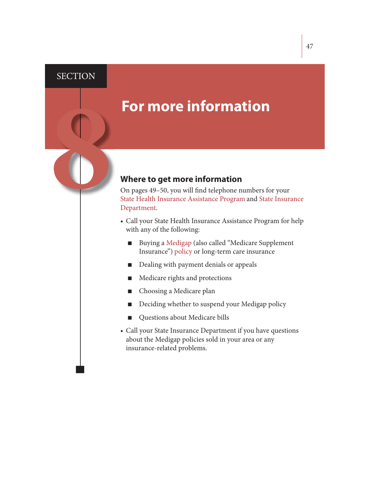#### **SECTION**

**For more information**<br> **88 <b>B**<br> **88 PM Where to get more information**<br>
On pages 49–50, you will find telephone numbers for<br>
State Health Insurance Assistance Program and State<br>
Department. On pages 49–50, you will find telephone numbers for your State Health Insurance Assistance Program and State Insurance Department.

- Call your State Health Insurance Assistance Program for help with any of the following:
	- Buying a Medigap (also called "Medicare Supplement" Insurance") policy or long-term care insurance
	- Dealing with payment denials or appeals
	- Medicare rights and protections
	- Choosing a Medicare plan
	- Deciding whether to suspend your Medigap policy
	- Questions about Medicare bills
- Call your State Insurance Department if you have questions about the Medigap policies sold in your area or any insurance-related problems.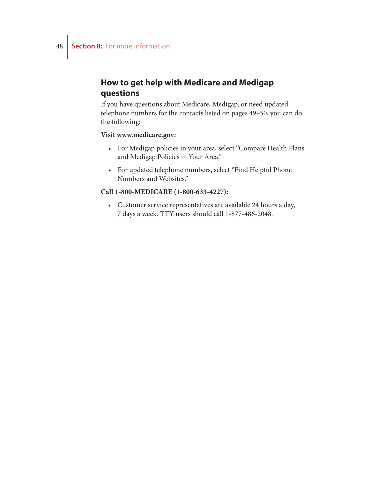#### **How to get help with Medicare and Medigap questions**

If you have questions about Medicare, Medigap, or need updated telephone numbers for the contacts listed on pages 49–50, you can do the following:

#### **Visit www.medicare.gov:**

- For Medigap policies in your area, select "Compare Health Plans and Medigap Policies in Your Area."
- For updated telephone numbers, select "Find Helpful Phone Numbers and Websites."

#### **Call 1-800-MEDICARE (1-800-633-4227):**

• Customer service representatives are available 24 hours a day, 7 days a week. TTY users should call 1-877-486-2048.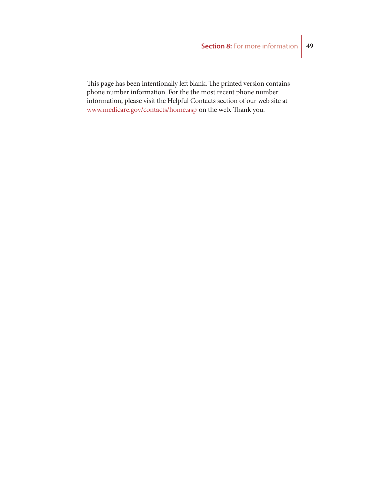This page has been intentionally left blank. The printed version contains phone number information. For the the most recent phone number information, please visit the Helpful Contacts section of our web site at www.medicare.gov/contacts/home.asp on the web. Thank you.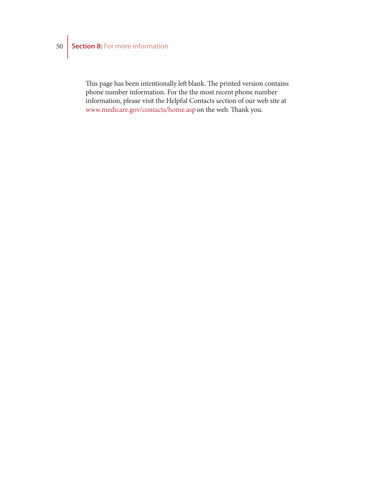## 50 **Section 8:** For more information

This page has been intentionally left blank. The printed version contains phone number information. For the the most recent phone number information, please visit the Helpful Contacts section of our web site at www.medicare.gov/contacts/home.asp on the web. Thank you.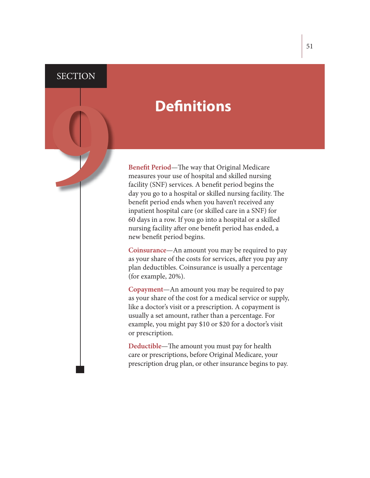#### **SECTION**

**Definitions**<br> **Benefit Period**—The way that Original Medicare<br>
measures your use of hospital and skilled nursing<br>
facility (SNF) services. A benefit period begins th<br>
day you go to a hospital or skilled nursing facility.<br> measures your use of hospital and skilled nursing facility (SNF) services. A benefit period begins the day you go to a hospital or skilled nursing facility. The benefit period ends when you haven't received any inpatient hospital care (or skilled care in a SNF) for 60 days in a row. If you go into a hospital or a skilled nursing facility after one benefit period has ended, a new benefit period begins.

> **Coinsurance**—An amount you may be required to pay as your share of the costs for services, after you pay any plan deductibles. Coinsurance is usually a percentage (for example, 20%).

> **Copayment**—An amount you may be required to pay as your share of the cost for a medical service or supply, like a doctor's visit or a prescription. A copayment is usually a set amount, rather than a percentage. For example, you might pay \$10 or \$20 for a doctor's visit or prescription.

**Deductible—The amount you must pay for health** care or prescriptions, before Original Medicare, your prescription drug plan, or other insurance begins to pay.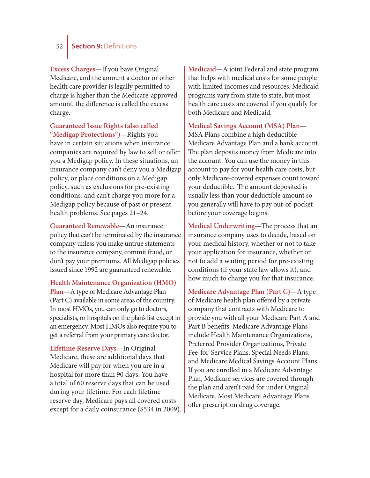#### 52 **Section 9: Definitions**

**Excess Charges**—If you have Original Medicare, and the amount a doctor or other health care provider is legally permitted to charge is higher than the Medicare-approved amount, the difference is called the excess charge.

**Guaranteed Issue Rights (also called "Medigap Protections")**—Rights you have in certain situations when insurance companies are required by law to sell or offer you a Medigap policy. In these situations, an insurance company can't deny you a Medigap policy, or place conditions on a Medigap policy, such as exclusions for pre-existing conditions, and can't charge you more for a Medigap policy because of past or present health problems. See pages 21–24.

**Guaranteed Renewable**—An insurance policy that can't be terminated by the insurance company unless you make untrue statements to the insurance company, commit fraud, or don't pay your premiums. All Medigap policies issued since 1992 are guaranteed renewable.

**Health Maintenance Organization (HMO) Plan**—A type of Medicare Advantage Plan (Part C) available in some areas of the country. In most HMOs, you can only go to doctors, specialists, or hospitals on the plan's list except in an emergency. Most HMOs also require you to get a referral from your primary care doctor.

**Lifetime Reserve Days**—In Original Medicare, these are additional days that Medicare will pay for when you are in a hospital for more than 90 days. You have a total of 60 reserve days that can be used during your lifetime. For each lifetime reserve day, Medicare pays all covered costs except for a daily coinsurance (\$534 in 2009).

**Medicaid**—A joint Federal and state program that helps with medical costs for some people with limited incomes and resources. Medicaid programs vary from state to state, but most health care costs are covered if you qualify for both Medicare and Medicaid.

**Medical Savings Account (MSA) Plan**— MSA Plans combine a high deductible Medicare Advantage Plan and a bank account. The plan deposits money from Medicare into the account. You can use the money in this account to pay for your health care costs, but only Medicare-covered expenses count toward your deductible. The amount deposited is usually less than your deductible amount so you generally will have to pay out-of-pocket before your coverage begins.

**Medical Underwriting—The process that an** insurance company uses to decide, based on your medical history, whether or not to take your application for insurance, whether or not to add a waiting period for pre-existing conditions (if your state law allows it), and how much to charge you for that insurance.

**Medicare Advantage Plan (Part C)**—A type of Medicare health plan offered by a private company that contracts with Medicare to provide you with all your Medicare Part A and Part B benefits. Medicare Advantage Plans include Health Maintenance Organizations, Preferred Provider Organizations, Private Fee-for-Service Plans, Special Needs Plans, and Medicare Medical Savings Account Plans. If you are enrolled in a Medicare Advantage Plan, Medicare services are covered through the plan and aren't paid for under Original Medicare. Most Medicare Advantage Plans offer prescription drug coverage.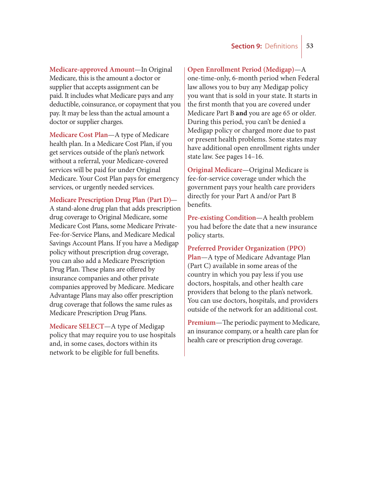**Medicare-approved Amount**—In Original Medicare, this is the amount a doctor or supplier that accepts assignment can be paid. It includes what Medicare pays and any deductible, coinsurance, or copayment that you pay. It may be less than the actual amount a doctor or supplier charges.

**Medicare Cost Plan**—A type of Medicare health plan. In a Medicare Cost Plan, if you get services outside of the plan's network without a referral, your Medicare-covered services will be paid for under Original Medicare. Your Cost Plan pays for emergency services, or urgently needed services.

#### **Medicare Prescription Drug Plan (Part D)**—

A stand-alone drug plan that adds prescription drug coverage to Original Medicare, some Medicare Cost Plans, some Medicare Private-Fee-for-Service Plans, and Medicare Medical Savings Account Plans. If you have a Medigap policy without prescription drug coverage, you can also add a Medicare Prescription Drug Plan. These plans are offered by insurance companies and other private companies approved by Medicare. Medicare Advantage Plans may also offer prescription drug coverage that follows the same rules as Medicare Prescription Drug Plans.

**Medicare SELECT**—A type of Medigap policy that may require you to use hospitals and, in some cases, doctors within its network to be eligible for full benefits.

**Open Enrollment Period (Medigap)**—A

one-time-only, 6-month period when Federal law allows you to buy any Medigap policy you want that is sold in your state. It starts in the first month that you are covered under Medicare Part B **and** you are age 65 or older. During this period, you can't be denied a Medigap policy or charged more due to past or present health problems. Some states may have additional open enrollment rights under state law. See pages 14–16.

**Original Medicare**—Original Medicare is fee-for-service coverage under which the government pays your health care providers directly for your Part A and/or Part B benefits.

**Pre-existing Condition**—A health problem you had before the date that a new insurance policy starts.

#### **Preferred Provider Organization (PPO)**

**Plan**—A type of Medicare Advantage Plan (Part C) available in some areas of the country in which you pay less if you use doctors, hospitals, and other health care providers that belong to the plan's network. You can use doctors, hospitals, and providers outside of the network for an additional cost.

**Premium—The periodic payment to Medicare,** an insurance company, or a health care plan for health care or prescription drug coverage.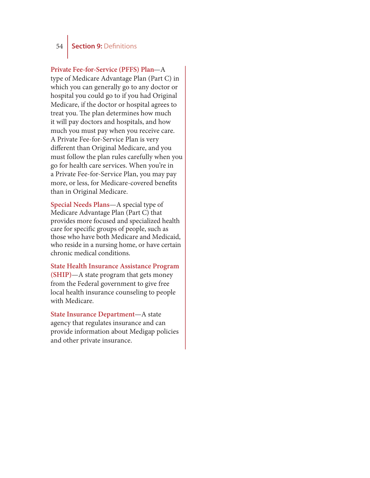#### 54 **Section 9: Definitions**

**Private Fee-for-Service (PFFS) Plan**—A

type of Medicare Advantage Plan (Part C) in which you can generally go to any doctor or hospital you could go to if you had Original Medicare, if the doctor or hospital agrees to treat you. The plan determines how much it will pay doctors and hospitals, and how much you must pay when you receive care. A Private Fee-for-Service Plan is very different than Original Medicare, and you must follow the plan rules carefully when you go for health care services. When you're in a Private Fee-for-Service Plan, you may pay more, or less, for Medicare-covered benefits than in Original Medicare.

**Special Needs Plans**—A special type of Medicare Advantage Plan (Part C) that provides more focused and specialized health care for specific groups of people, such as those who have both Medicare and Medicaid, who reside in a nursing home, or have certain chronic medical conditions.

**State Health Insurance Assistance Program (SHIP)**—A state program that gets money from the Federal government to give free local health insurance counseling to people with Medicare.

**State Insurance Department**—A state agency that regulates insurance and can provide information about Medigap policies and other private insurance.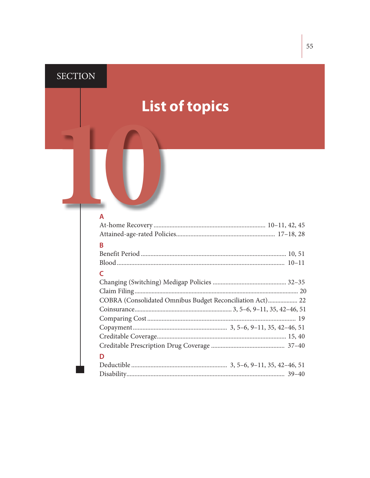### SECTION

## **List of topics**

### $\overline{A}$

| B                                                         |
|-----------------------------------------------------------|
|                                                           |
|                                                           |
| $\epsilon$                                                |
|                                                           |
|                                                           |
| COBRA (Consolidated Omnibus Budget Reconciliation Act) 22 |
|                                                           |
|                                                           |
|                                                           |
|                                                           |
|                                                           |
| D                                                         |
|                                                           |
|                                                           |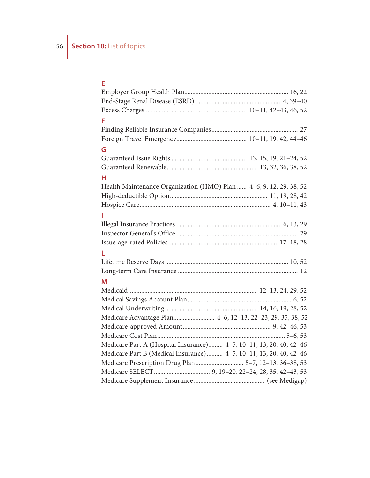#### **E**

| F                                                                  |
|--------------------------------------------------------------------|
|                                                                    |
|                                                                    |
|                                                                    |
| G                                                                  |
|                                                                    |
|                                                                    |
| н                                                                  |
| Health Maintenance Organization (HMO) Plan  4-6, 9, 12, 29, 38, 52 |
|                                                                    |
|                                                                    |
|                                                                    |
|                                                                    |
|                                                                    |
|                                                                    |
| L                                                                  |
|                                                                    |
|                                                                    |
| M                                                                  |
|                                                                    |
|                                                                    |
|                                                                    |
| Medicare Advantage Plan 4-6, 12-13, 22-23, 29, 35, 38, 52          |
|                                                                    |
|                                                                    |
| Medicare Part A (Hospital Insurance) 4-5, 10-11, 13, 20, 40, 42-46 |
| Medicare Part B (Medical Insurance)  4-5, 10-11, 13, 20, 40, 42-46 |
| Medicare Prescription Drug Plan 5-7, 12-13, 36-38, 53              |
|                                                                    |
|                                                                    |
|                                                                    |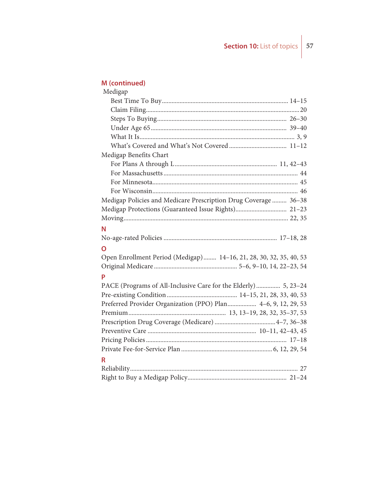#### **M (continued)**

| Medigap                                                            |
|--------------------------------------------------------------------|
|                                                                    |
|                                                                    |
|                                                                    |
|                                                                    |
|                                                                    |
|                                                                    |
| Medigap Benefits Chart                                             |
|                                                                    |
|                                                                    |
|                                                                    |
|                                                                    |
| Medigap Policies and Medicare Prescription Drug Coverage  36-38    |
|                                                                    |
|                                                                    |
| N                                                                  |
|                                                                    |
| $\overline{O}$                                                     |
| Open Enrollment Period (Medigap) 14-16, 21, 28, 30, 32, 35, 40, 53 |
|                                                                    |
| P                                                                  |
| PACE (Programs of All-Inclusive Care for the Elderly) 5, 23-24     |
|                                                                    |
| Preferred Provider Organization (PPO) Plan 4-6, 9, 12, 29, 53      |
|                                                                    |
|                                                                    |
|                                                                    |
|                                                                    |
|                                                                    |
| R                                                                  |
|                                                                    |
|                                                                    |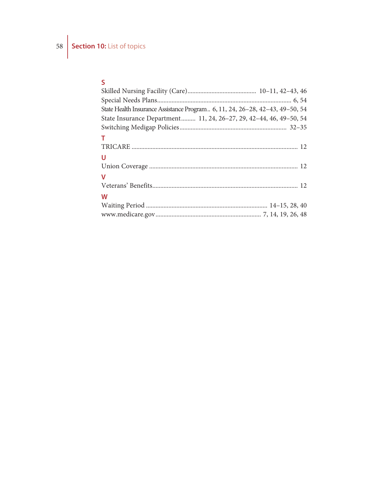58 **Section 10:** List of topics

### **S**

| State Health Insurance Assistance Program 6, 11, 24, 26-28, 42-43, 49-50, 54 |
|------------------------------------------------------------------------------|
| State Insurance Department 11, 24, 26-27, 29, 42-44, 46, 49-50, 54           |
|                                                                              |
| т                                                                            |
|                                                                              |
| U                                                                            |
|                                                                              |
| $\mathbf v$                                                                  |
|                                                                              |
| W                                                                            |
|                                                                              |
|                                                                              |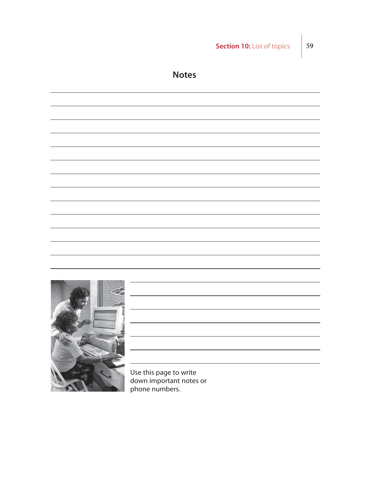<u> 1989 - Johann Barbara, martxa alemaniar a</u>

<u> 1989 - Johann Barn, mars ann an t-Amhain Aonaich an t-Aonaich an t-Aonaich an t-Aonaich an t-Aonaich an t-Aon</u>

<u> 1989 - Johann Barn, mars ann an t-Amhain Aonaich an t-Aonaich an t-Aonaich ann an t-Aonaich ann an t-Aonaich</u>

<u> 1980 - Johann Barbara, martxa alemaniar a</u>

<u> 1989 - Johann Barn, mars ann an t-Amhain Aonaich an t-Aonaich an t-Aonaich ann an t-Aonaich ann an t-Aonaich</u>



Use this page to write down important notes or phone numbers.

**Notes**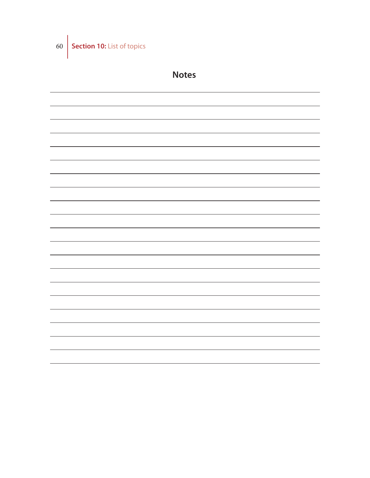60 **Section 10:** List of topics

# **Notes**<u> 1989 - Johann Stoff, deutscher Stoff, der Stoff, der Stoff, der Stoff, der Stoff, der Stoff, der Stoff, der S</u> <u> 1989 - Johann Stoff, deutscher Stoff, der Stoff, der Stoff, der Stoff, der Stoff, der Stoff, der Stoff, der S</u>  $\overline{\phantom{0}}$ ,我们也不能在这里的时候,我们也不能在这里的时候,我们也不能会在这里的时候,我们也不能会在这里的时候,我们也不能会在这里的时候,我们也不能会在这里的时候,我们也  $\overline{\phantom{0}}$ ,我们也不能在这里的时候,我们也不能在这里的时候,我们也不能会在这里的时候,我们也不能会在这里的时候,我们也不能会在这里的时候,我们也不能会在这里的时候,我们也  $\overline{\phantom{a}}$ <u> 1989 - Johann Harry Harry Harry Harry Harry Harry Harry Harry Harry Harry Harry Harry Harry Harry Harry Harry</u>  $\overline{a}$ <u> 1989 - Johann Stoff, deutscher Stoff, der Stoff, der Stoff, der Stoff, der Stoff, der Stoff, der Stoff, der S</u>  $\overline{\phantom{0}}$  $\overline{\phantom{0}}$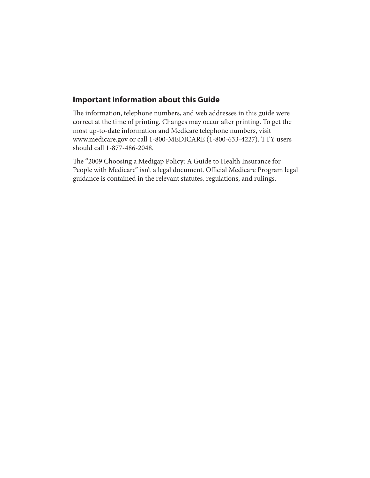#### **Important Information about this Guide**

The information, telephone numbers, and web addresses in this guide were correct at the time of printing. Changes may occur after printing. To get the most up-to-date information and Medicare telephone numbers, visit www.medicare.gov or call 1-800-MEDICARE (1-800-633-4227). TTY users should call 1-877-486-2048.

The "2009 Choosing a Medigap Policy: A Guide to Health Insurance for People with Medicare" isn't a legal document. Official Medicare Program legal guidance is contained in the relevant statutes, regulations, and rulings.